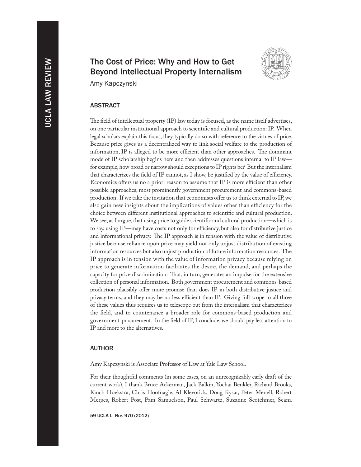# The Cost of Price: Why and How to Get Beyond Intellectual Property Internalism



Amy Kapczynski

## ABSTRACT

The field of intellectual property (IP) law today is focused, as the name itself advertises, on one particular institutional approach to scientific and cultural production: IP. When legal scholars explain this focus, they typically do so with reference to the virtues of price. Because price gives us a decentralized way to link social welfare to the production of information, IP is alleged to be more efficient than other approaches. The dominant mode of IP scholarship begins here and then addresses questions internal to IP law for example, how broad or narrow should exceptions to IP rights be? But the internalism that characterizes the field of IP cannot, as I show, be justified by the value of efficiency. Economics offers us no a priori reason to assume that IP is more efficient than other possible approaches, most prominently government procurement and commons-based production. If we take the invitation that economists offer us to think external to IP, we also gain new insights about the implications of values other than efficiency for the choice between different institutional approaches to scientific and cultural production. We see, as I argue, that using price to guide scientific and cultural production—which is to say, using IP—may have costs not only for efficiency, but also for distributive justice and informational privacy. The IP approach is in tension with the value of distributive justice because reliance upon price may yield not only unjust distribution of existing information resources but also unjust production of future information resources. The IP approach is in tension with the value of information privacy because relying on price to generate information facilitates the desire, the demand, and perhaps the capacity for price discrimination. That, in turn, generates an impulse for the extensive collection of personal information. Both government procurement and commons-based production plausibly offer more promise than does IP in both distributive justice and privacy terms, and they may be no less efficient than IP. Giving full scope to all three of these values thus requires us to telescope out from the internalism that characterizes the field, and to countenance a broader role for commons-based production and government procurement. In the field of IP, I conclude, we should pay less attention to IP and more to the alternatives.

#### AUTHOR

Amy Kapczynski is Associate Professor of Law at Yale Law School.

For their thoughtful comments (in some cases, on an unrecognizably early draft of the current work), I thank Bruce Ackerman, Jack Balkin, Yochai Benkler, Richard Brooks, Kinch Hoekstra, Chris Hoofnagle, Al Klevorick, Doug Kysar, Peter Menell, Robert Merges, Robert Post, Pam Samuelson, Paul Schwartz, Suzanne Scotchmer, Seana

59 UCLA L. Rev. 970 (2012)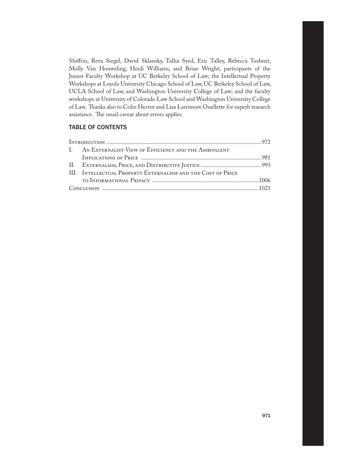Shiffrin, Reva Siegel, David Sklansky, Talha Syed, Eric Talley, Rebecca Tushnet, Molly Van Houweling, Heidi Williams, and Brian Wright; participants of the Junior Faculty Workshop at UC Berkeley School of Law; the Intellectual Property Workshops at Loyola University Chicago School of Law, UC Berkeley School of Law, UCLA School of Law, and Washington University College of Law; and the faculty workshops at University of Colorado Law School and Washington University College of Law. Thanks also to Colin Hector and Lisa Larrimore Ouellette for superb research assistance. The usual caveat about errors applies.

# TABLE OF CONTENTS

|  | I. AN EXTERNALIST VIEW OF EFFICIENCY AND THE AMBIVALENT      |  |
|--|--------------------------------------------------------------|--|
|  |                                                              |  |
|  |                                                              |  |
|  | III. INTELLECTUAL PROPERTY EXTERNALISM AND THE COST OF PRICE |  |
|  |                                                              |  |
|  |                                                              |  |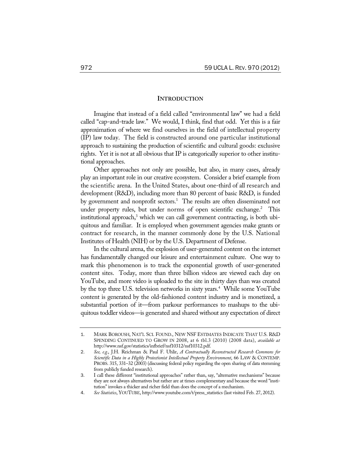### **INTRODUCTION**

Imagine that instead of a field called "environmental law" we had a field called "cap-and-trade law." We would, I think, find that odd. Yet this is a fair approximation of where we find ourselves in the field of intellectual property (IP) law today. The field is constructed around one particular institutional approach to sustaining the production of scientific and cultural goods: exclusive rights. Yet it is not at all obvious that IP is categorically superior to other institutional approaches.

Other approaches not only are possible, but also, in many cases, already play an important role in our creative ecosystem. Consider a brief example from the scientific arena. In the United States, about one-third of all research and development (R&D), including more than 80 percent of basic R&D, is funded by government and nonprofit sectors.<sup>1</sup> The results are often disseminated not under property rules, but under norms of open scientific exchange.<sup>2</sup> This institutional approach, $^3$  which we can call government contracting, is both ubiquitous and familiar. It is employed when government agencies make grants or contract for research, in the manner commonly done by the U.S. National Institutes of Health (NIH) or by the U.S. Department of Defense.

In the cultural arena, the explosion of user-generated content on the internet has fundamentally changed our leisure and entertainment culture. One way to mark this phenomenon is to track the exponential growth of user-generated content sites. Today, more than three billion videos are viewed each day on YouTube, and more video is uploaded to the site in thirty days than was created by the top three U.S. television networks in sixty years.<sup>4</sup> While some YouTube content is generated by the old-fashioned content industry and is monetized, a substantial portion of it—from parkour performances to mashups to the ubiquitous toddler videos—is generated and shared without any expectation of direct

<sup>1</sup>. MARK BOROUSH, NAT'L SCI. FOUND., NEW NSF ESTIMATES INDICATE THAT U.S. R&D SPENDING CONTINUED TO GROW IN 2008, at 6 tbl.3 (2010) (2008 data), *available at* http://www.nsf.gov/statistics/infbrief/nsf10312/nsf10312.pdf.

<sup>2</sup>. *See, e.g.*, J.H. Reichman & Paul F. Uhlir, *A Contractually Reconstructed Research Commons for Scientific Data in a Highly Protectionist Intellectual Property Environment*, 66 LAW & CONTEMP. PROBS. 315, 331-32 (2003) (discussing federal policy regarding the open sharing of data stemming from publicly funded research).

<sup>3</sup>. I call these different "institutional approaches" rather than, say, "alternative mechanisms" because they are not always alternatives but rather are at times complementary and because the word "institution" invokes a thicker and richer field than does the concept of a mechanism.

<sup>4</sup>. *See Statistics*, YOUTUBE, http://www.youtube.com/t/press\_statistics (last visited Feb. 27, 2012).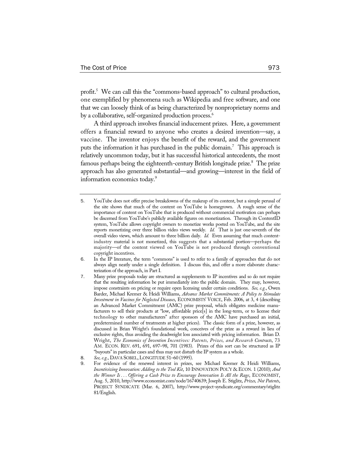profit.<sup>5</sup> We can call this the "commons-based approach" to cultural production, one exemplified by phenomena such as Wikipedia and free software, and one that we can loosely think of as being characterized by nonproprietary norms and by a collaborative, self-organized production process.<sup>6</sup>

A third approach involves financial inducement prizes. Here, a government offers a financial reward to anyone who creates a desired invention—say, a vaccine. The inventor enjoys the benefit of the reward, and the government puts the information it has purchased in the public domain.<sup>7</sup> This approach is relatively uncommon today, but it has successful historical antecedents, the most famous perhaps being the eighteenth-century British longitude prize.<sup>8</sup> The prize approach has also generated substantial—and growing—interest in the field of information economics today.9

- 6. In the IP literature, the term "commons" is used to refer to a family of approaches that do not always align neatly under a single definition. I discuss this, and offer a more elaborate characterization of the approach, in Part I.
- 7. Many prize proposals today are structured as supplements to IP incentives and so do not require that the resulting information be put immediately into the public domain. They may, however, impose constraints on pricing or require open licensing under certain conditions. *See, e.g.*, Owen Barder, Michael Kremer & Heidi Williams, *Advance Market Commitments: A Policy to Stimulate Investment in Vaccines for Neglected Diseases*, ECONOMISTS' VOICE, Feb. 2006, at 3, 4 (describing an Advanced Market Commitment (AMC) prize proposal, which obligates medicine manufacturers to sell their products at "low, affordable price[s] in the long-term, or to license their technology to other manufacturers" after sponsors of the AMC have purchased an initial, predetermined number of treatments at higher prices). The classic form of a prize, however, as discussed in Brian Wright's foundational work, conceives of the prize as a reward in lieu of exclusive rights, thus avoiding the deadweight loss associated with pricing information. Brian D. Wright, *The Economics of Invention Incentives: Patents, Prizes, and Research Contracts*, 73 AM. ECON. REV. 691, 691, 697–98, 701 (1983). Prizes of this sort can be structured as IP "buyouts" in particular cases and thus may not disturb the IP system as a whole.

<sup>5</sup>. YouTube does not offer precise breakdowns of the makeup of its content, but a simple perusal of the site shows that much of the content on YouTube is homegrown. A rough sense of the importance of content on YouTube that is produced without commercial motivation can perhaps be discerned from YouTube's publicly available figures on monetization. Through its ContentID system, YouTube allows copyright owners to monetize works posted on YouTube, and the site reports monetizing over three billion video views weekly. *Id.* That is just one-seventh of the overall video views, which amount to three billion daily. *Id.* Even assuming that much contentindustry material is not monetized, this suggests that a substantial portion—perhaps the majority—of the content viewed on YouTube is not produced through conventional copyright incentives.

<sup>8</sup>. *See, e.g.*, DAVA SOBEL,LONGITUDE 51–60 (1995).

<sup>9</sup>. For evidence of the renewed interest in prizes, see Michael Kremer & Heidi Williams, *Incentivizing Innovation: Adding to the Tool Kit*, 10 INNOVATION POL'Y & ECON. 1 (2010); *And the Winner Is . . . Offering a Cash Prize to Encourage Innovation Is All the Rage*, ECONOMIST, Aug. 5, 2010, http://www.economist.com/node/16740639; Joseph E. Stiglitz, *Prizes, Not Patents*, PROJECT SYNDICATE (Mar. 6, 2007), http://www.project-syndicate.org/commentary/stiglitz 81/English.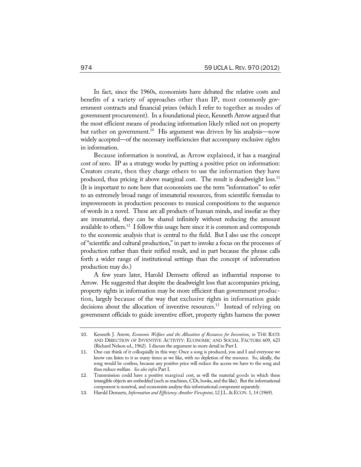In fact, since the 1960s, economists have debated the relative costs and benefits of a variety of approaches other than IP, most commonly government contracts and financial prizes (which I refer to together as modes of government procurement). In a foundational piece, Kenneth Arrow argued that the most efficient means of producing information likely relied not on property but rather on government.<sup>10</sup> His argument was driven by his analysis—now widely accepted—of the necessary inefficiencies that accompany exclusive rights in information.

Because information is nonrival, as Arrow explained, it has a marginal cost of zero. IP as a strategy works by putting a positive price on information: Creators create, then they charge others to use the information they have produced, thus pricing it above marginal cost. The result is deadweight loss.<sup>11</sup> (It is important to note here that economists use the term "information" to refer to an extremely broad range of immaterial resources, from scientific formulas to improvements in production processes to musical compositions to the sequence of words in a novel. These are all products of human minds, and insofar as they are immaterial, they can be shared infinitely without reducing the amount available to others.12 I follow this usage here since it is common and corresponds to the economic analysis that is central to the field. But I also use the concept of "scientific and cultural production," in part to invoke a focus on the processes of production rather than their reified result, and in part because the phrase calls forth a wider range of institutional settings than the concept of information production may do.)

A few years later, Harold Demsetz offered an influential response to Arrow. He suggested that despite the deadweight loss that accompanies pricing, property rights in information may be more efficient than government production, largely because of the way that exclusive rights in information guide decisions about the allocation of inventive resources.<sup>13</sup> Instead of relying on government officials to guide inventive effort, property rights harness the power

<sup>10</sup>. Kenneth J. Arrow, *Economic Welfare and the Allocation of Resources for Invention*, *in* THE RATE AND DIRECTION OF INVENTIVE ACTIVITY: ECONOMIC AND SOCIAL FACTORS 609, 623 (Richard Nelson ed., 1962). I discuss the argument in more detail in Part I.

<sup>11</sup>. One can think of it colloquially in this way: Once a song is produced, you and I and everyone we know can listen to it as many times as we like, with no depletion of the resource. So, ideally, the song would be costless, because any positive price will reduce the access we have to the song and thus reduce welfare. *See also infra* Part I.

<sup>12</sup>. Transmission could have a positive marginal cost, as will the material goods in which these intangible objects are embedded (such as machines, CDs, books, and the like). But the informational component is nonrival, and economists analyze this informational component separately.

<sup>13</sup>. Harold Demsetz, *Information and Efficiency: Another Viewpoint*, 12 J.L. & ECON. 1, 14 (1969).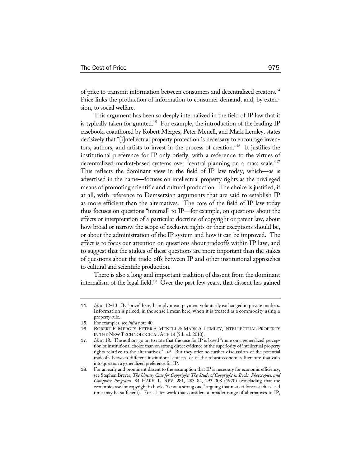of price to transmit information between consumers and decentralized creators.14 Price links the production of information to consumer demand, and, by extension, to social welfare.

This argument has been so deeply internalized in the field of IP law that it is typically taken for granted.<sup>15</sup> For example, the introduction of the leading IP casebook, coauthored by Robert Merges, Peter Menell, and Mark Lemley, states decisively that "[i]ntellectual property protection is necessary to encourage inventors, authors, and artists to invest in the process of creation."16 It justifies the institutional preference for IP only briefly, with a reference to the virtues of decentralized market-based systems over "central planning on a mass scale."17 This reflects the dominant view in the field of IP law today, which—as is advertised in the name—focuses on intellectual property rights as the privileged means of promoting scientific and cultural production. The choice is justified, if at all, with reference to Demsetzian arguments that are said to establish IP as more efficient than the alternatives. The core of the field of IP law today thus focuses on questions "internal" to IP—for example, on questions about the effects or interpretation of a particular doctrine of copyright or patent law, about how broad or narrow the scope of exclusive rights or their exceptions should be, or about the administration of the IP system and how it can be improved. The effect is to focus our attention on questions about tradeoffs within IP law, and to suggest that the stakes of these questions are more important than the stakes of questions about the trade-offs between IP and other institutional approaches to cultural and scientific production.

There is also a long and important tradition of dissent from the dominant internalism of the legal field.<sup>18</sup> Over the past few years, that dissent has gained

<sup>14</sup>. *Id*. at 12–13. By "price" here, I simply mean payment voluntarily exchanged in private markets. Information is priced, in the sense I mean here, when it is treated as a commodity using a property rule.

<sup>15</sup>. For examples, see *infra* note 40.

<sup>16</sup>. ROBERT P. MERGES, PETER S. MENELL & MARK A. LEMLEY, INTELLECTUAL PROPERTY IN THE NEW TECHNOLOGICAL AGE 14 (5th ed. 2010).

<sup>17</sup>. *Id*. at 18. The authors go on to note that the case for IP is based "more on a generalized perception of institutional choice than on strong direct evidence of the superiority of intellectual property rights relative to the alternatives." *Id.* But they offer no further discussion of the potential tradeoffs between different institutional choices, or of the robust economics literature that calls into question a generalized preference for IP.

<sup>18</sup>. For an early and prominent dissent to the assumption that IP is necessary for economic efficiency, see Stephen Breyer, *The Uneasy Case for Copyright: The Study of Copyright in Books, Photocopies, and Computer Programs*, 84 HARV. L. REV. 281, 283–84, 293–308 (1970) (concluding that the economic case for copyright in books "is not a strong one," arguing that market forces such as lead time may be sufficient). For a later work that considers a broader range of alternatives to IP,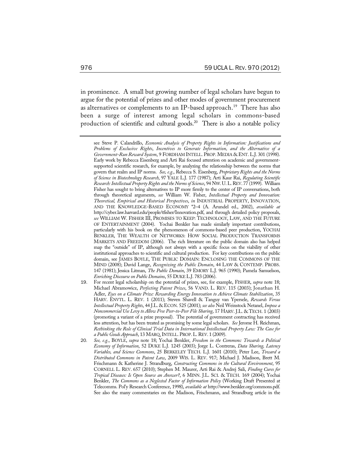in prominence. A small but growing number of legal scholars have begun to argue for the potential of prizes and other modes of government procurement as alternatives or complements to an IP-based approach.<sup>19</sup> There has also been a surge of interest among legal scholars in commons-based production of scientific and cultural goods.<sup>20</sup> There is also a notable policy

- 19. For recent legal scholarship on the potential of prizes, see, for example, FISHER, *supra* note 18; Michael Abramowicz, *Perfecting Patent Prizes*, 56 VAND. L. REV. 115 (2003); Jonathan H. Adler, *Eyes on a Climate Prize: Rewarding Energy Innovation to Achieve Climate Stabilization*, 35 HARV. ENVTL. L. REV. 1 (2011); Steven Shavell & Tanguy van Ypersele, *Rewards Versus Intellectual Property Rights*, 44 J.L. & ECON. 525 (2001); *see also* Neil Weinstock Netanel, *Impose a Noncommercial Use Levy to Allow Free Peer-to-Peer File Sharing*, 17 HARV. J.L. & TECH. 1 (2003) (promoting a variant of a prize proposal). The potential of government contracting has received less attention, but has been treated as promising by some legal scholars. *See* Jerome H. Reichman, *Rethinking the Role of Clinical Trial Data in International Intellectual Property Law: The Case for a Public Goods Approach*, 13 MARQ.INTELL. PROP.L.REV. 1 (2009).
- 20*. See, e.g.*, BOYLE, *supra* note 18; Yochai Benkler, *Freedom in the Commons: Towards a Political Economy of Information*, 52 DUKE L.J. 1245 (2003); Jorge L. Contreras, *Data Sharing, Latency Variables, and Science Commons*, 25 BERKELEY TECH. L.J. 1601 (2010); Peter Lee, *Toward a Distributed Commons in Patent Law*, 2009 WIS. L. REV. 917; Michael J. Madison, Brett M. Frischmann & Katherine J. Strandburg, *Constructing Commons in the Cultural Environment*, 95 CORNELL L. REV. 657 (2010); Stephen M. Maurer, Arti Rai & Andrej Sali, *Finding Cures for Tropical Diseases: Is Open Source an Answer?*, 6 MINN. J.L. SCI. & TECH. 169 (2004); Yochai Benkler, *The Commons as a Neglected Factor of Information Policy* (Working Draft Presented at Telecomms. Pol'y Research Conference, 1998), *available at* http://www.benkler.org/commons.pdf. See also the many commentaries on the Madison, Frischmann, and Strandburg article in the

see Steve P. Calandrillo, *Economic Analysis of Property Rights in Information: Justifications and Problems of Exclusive Rights*, *Incentives to Generate Information, and the Alternative of a Government-Run Reward System*, 9 FORDHAM INTELL. PROP. MEDIA & ENT. L.J. 301 (1998). Early work by Rebecca Eisenberg and Arti Rai focused attention on academic and governmentsupported scientific research, for example, by analyzing the relationship between the norms that govern that realm and IP norms. *See, e.g.*, Rebecca S. Eisenberg, *Proprietary Rights and the Norms of Science in Biotechnology Research*, 97 YALE L.J. 177 (1987); Arti Kaur Rai, *Regulating Scientific Research: Intellectual Property Rights and the Norms of Science*, 94 NW.U.L.REV. 77 (1999). William Fisher has sought to bring alternatives to IP more firmly to the center of IP conversations, both through theoretical arguments, *see* William W. Fisher, *Intellectual Property and Innovation: Theoretical, Empirical and Historical Perspectives*, *in* INDUSTRIAL PROPERTY, INNOVATION, AND THE KNOWLEDGE-BASED ECONOMY \*2–4 (A. Arundel ed., 2002), *available at*  http://cyber.law.harvard.edu/people/tfisher/Innovation.pdf, and through detailed policy proposals, *see* WILLIAM W. FISHER III, PROMISES TO KEEP: TECHNOLOGY, LAW, AND THE FUTURE OF ENTERTAINMENT (2004). Yochai Benkler has made similarly important contributions, particularly with his book on the phenomenon of commons-based peer production, YOCHAI BENKLER, THE WEALTH OF NETWORKS: HOW SOCIAL PRODUCTION TRANSFORMS MARKETS AND FREEDOM (2006). The rich literature on the public domain also has helped map the "outside" of IP, although not always with a specific focus on the viability of other institutional approaches to scientific and cultural production. For key contributions on the public domain, see JAMES BOYLE, THE PUBLIC DOMAIN: ENCLOSING THE COMMONS OF THE MIND (2008); David Lange, *Recognizing the Public Domain*, 44 LAW & CONTEMP. PROBS. 147 (1981); Jessica Litman, *The Public Domain*, 39 EMORY L.J. 965 (1990); Pamela Samuelson, *Enriching Discourse on Public Domains*, 55 DUKE L.J. 783 (2006).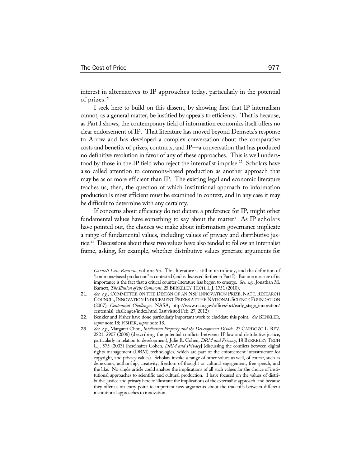interest in alternatives to IP approaches today, particularly in the potential of prizes.<sup>21</sup>

I seek here to build on this dissent, by showing first that IP internalism cannot, as a general matter, be justified by appeals to efficiency. That is because, as Part I shows, the contemporary field of information economics itself offers no clear endorsement of IP. That literature has moved beyond Demsetz's response to Arrow and has developed a complex conversation about the comparative costs and benefits of prizes, contracts, and IP—a conversation that has produced no definitive resolution in favor of any of these approaches. This is well understood by those in the IP field who reject the internalist impulse.<sup>22</sup> Scholars have also called attention to commons-based production as another approach that may be as or more efficient than IP. The existing legal and economic literature teaches us, then, the question of which institutional approach to information production is most efficient must be examined in context, and in any case it may be difficult to determine with any certainty.

If concerns about efficiency do not dictate a preference for IP, might other fundamental values have something to say about the matter? As IP scholars have pointed out, the choices we make about information governance implicate a range of fundamental values, including values of privacy and distributive justice.<sup>23</sup> Discussions about these two values have also tended to follow an internalist frame, asking, for example, whether distributive values generate arguments for

*Cornell Law Review*, volume 95. This literature is still in its infancy, and the definition of "commons-based production" is contested (and is discussed further in Part I). But one measure of its importance is the fact that a critical counter-literature has begun to emerge. *See, e.g.*, Jonathan M. Barnett, *The Illusion of the Commons*, 25 BERKELEY TECH.L.J. 1751 (2010).

<sup>21</sup>*. See, e.g.*, COMMITTEE ON THE DESIGN OF AN NSF INNOVATION PRIZE, NAT'L RESEARCH COUNCIL,INNOVATION INDUCEMENT PRIZES AT THE NATIONAL SCIENCE FOUNDATION (2007); *Centennial Challenges*, NASA, http://www.nasa.gov/offices/oct/early\_stage\_innovation/ centennial\_challenges/index.html (last visited Feb. 27, 2012)*.* 

<sup>22</sup>. Benkler and Fisher have done particularly important work to elucidate this point. *See* BENKLER, *supra* note 18; FISHER, *supra* note 18.

<sup>23</sup>. *See, e.g.*, Margaret Chon, *Intellectual Property and the Development Divide*, 27 CARDOZO L. REV. 2821, 2907 (2006) (describing the potential conflicts between IP law and distributive justice, particularly in relation to development); Julie E. Cohen, *DRM and Privacy*, 18 BERKELEY TECH L.J. 575 (2003) [hereinafter Cohen, *DRM and Privacy*] (discussing the conflicts between digital rights management (DRM) technologies, which are part of the enforcement infrastructure for copyright, and privacy values). Scholars invoke a range of other values as well, of course, such as democracy, authorship, creativity, freedom of thought or cultural engagement, free speech, and the like. No single article could analyze the implications of all such values for the choice of institutional approaches to scientific and cultural production. I have focused on the values of distributive justice and privacy here to illustrate the implications of the externalist approach, and because they offer us an entry point to important new arguments about the tradeoffs between different institutional approaches to innovation.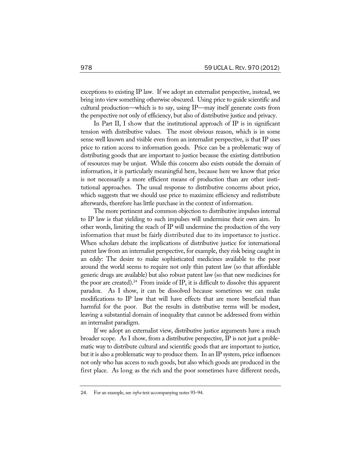exceptions to existing IP law. If we adopt an externalist perspective, instead, we bring into view something otherwise obscured. Using price to guide scientific and cultural production—which is to say, using IP—may itself generate costs from the perspective not only of efficiency, but also of distributive justice and privacy.

In Part II, I show that the institutional approach of IP is in significant tension with distributive values. The most obvious reason, which is in some sense well known and visible even from an internalist perspective, is that IP uses price to ration access to information goods. Price can be a problematic way of distributing goods that are important to justice because the existing distribution of resources may be unjust. While this concern also exists outside the domain of information, it is particularly meaningful here, because here we know that price is not necessarily a more efficient means of production than are other institutional approaches. The usual response to distributive concerns about price, which suggests that we should use price to maximize efficiency and redistribute afterwards, therefore has little purchase in the context of information.

The more pertinent and common objection to distributive impulses internal to IP law is that yielding to such impulses will undermine their own aim. In other words, limiting the reach of IP will undermine the production of the very information that must be fairly distributed due to its importance to justice. When scholars debate the implications of distributive justice for international patent law from an internalist perspective, for example, they risk being caught in an eddy: The desire to make sophisticated medicines available to the poor around the world seems to require not only thin patent law (so that affordable generic drugs are available) but also robust patent law (so that new medicines for the poor are created).<sup>24</sup> From inside of IP, it is difficult to dissolve this apparent paradox. As I show, it can be dissolved because sometimes we can make modifications to IP law that will have effects that are more beneficial than harmful for the poor. But the results in distributive terms will be modest, leaving a substantial domain of inequality that cannot be addressed from within an internalist paradigm.

If we adopt an externalist view, distributive justice arguments have a much broader scope. As I show, from a distributive perspective, IP is not just a problematic way to distribute cultural and scientific goods that are important to justice, but it is also a problematic way to produce them. In an IP system, price influences not only who has access to such goods, but also which goods are produced in the first place. As long as the rich and the poor sometimes have different needs,

<sup>24</sup>. For an example, see *infra* text accompanying notes 93–94.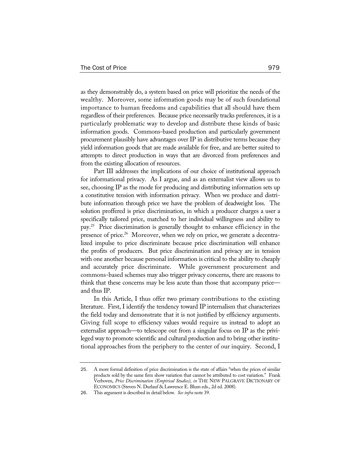as they demonstrably do, a system based on price will prioritize the needs of the wealthy. Moreover, some information goods may be of such foundational importance to human freedoms and capabilities that all should have them regardless of their preferences. Because price necessarily tracks preferences, it is a particularly problematic way to develop and distribute these kinds of basic information goods. Commons-based production and particularly government procurement plausibly have advantages over IP in distributive terms because they yield information goods that are made available for free, and are better suited to attempts to direct production in ways that are divorced from preferences and from the existing allocation of resources.

Part III addresses the implications of our choice of institutional approach for informational privacy. As I argue, and as an externalist view allows us to see, choosing IP as the mode for producing and distributing information sets up a constitutive tension with information privacy. When we produce and distribute information through price we have the problem of deadweight loss. The solution proffered is price discrimination, in which a producer charges a user a specifically tailored price, matched to her individual willingness and ability to pay.25 Price discrimination is generally thought to enhance efficiency in the presence of price.<sup>26</sup> Moreover, when we rely on price, we generate a decentralized impulse to price discriminate because price discrimination will enhance the profits of producers. But price discrimination and privacy are in tension with one another because personal information is critical to the ability to cheaply and accurately price discriminate. While government procurement and commons-based schemes may also trigger privacy concerns, there are reasons to think that these concerns may be less acute than those that accompany price and thus IP.

In this Article, I thus offer two primary contributions to the existing literature. First, I identify the tendency toward IP internalism that characterizes the field today and demonstrate that it is not justified by efficiency arguments. Giving full scope to efficiency values would require us instead to adopt an externalist approach—to telescope out from a singular focus on IP as the privileged way to promote scientific and cultural production and to bring other institutional approaches from the periphery to the center of our inquiry. Second, I

<sup>25</sup>. A more formal definition of price discrimination is the state of affairs "when the prices of similar products sold by the same firm show variation that cannot be attributed to cost variation." Frank Verboven, *Price Discrimination (Empirical Studies)*, *in* THE NEW PALGRAVE DICTIONARY OF ECONOMICS (Steven N. Durlauf & Lawrence E. Blum eds., 2d ed. 2008).

<sup>26</sup>. This argument is described in detail below. *See infra* note 39.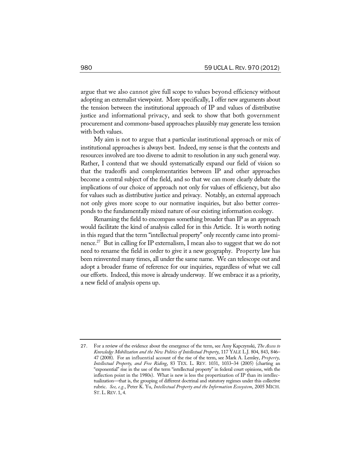argue that we also cannot give full scope to values beyond efficiency without adopting an externalist viewpoint. More specifically, I offer new arguments about the tension between the institutional approach of IP and values of distributive justice and informational privacy, and seek to show that both government procurement and commons-based approaches plausibly may generate less tension with both values.

My aim is not to argue that a particular institutional approach or mix of institutional approaches is always best. Indeed, my sense is that the contexts and resources involved are too diverse to admit to resolution in any such general way. Rather, I contend that we should systematically expand our field of vision so that the tradeoffs and complementarities between IP and other approaches become a central subject of the field, and so that we can more clearly debate the implications of our choice of approach not only for values of efficiency, but also for values such as distributive justice and privacy. Notably, an external approach not only gives more scope to our normative inquiries, but also better corresponds to the fundamentally mixed nature of our existing information ecology.

Renaming the field to encompass something broader than IP as an approach would facilitate the kind of analysis called for in this Article. It is worth noting in this regard that the term "intellectual property" only recently came into prominence.27 But in calling for IP externalism, I mean also to suggest that we do not need to rename the field in order to give it a new geography. Property law has been reinvented many times, all under the same name. We can telescope out and adopt a broader frame of reference for our inquiries, regardless of what we call our efforts. Indeed, this move is already underway. If we embrace it as a priority, a new field of analysis opens up.

<sup>27</sup>. For a review of the evidence about the emergence of the term, see Amy Kapczynski, *The Access to Knowledge Mobilization and the New Politics of Intellectual Property*, 117 YALE L.J. 804, 843, 846– 47 (2008). For an influential account of the rise of the term, see Mark A. Lemley, *Property, Intellectual Property, and Free Riding*, 83 TEX. L. REV. 1031, 1033–34 (2005) (charting an "exponential" rise in the use of the term "intellectual property" in federal court opinions, with the inflection point in the 1980s). What is new is less the propertization of IP than its intellectualization—that is, the grouping of different doctrinal and statutory regimes under this collective rubric. *See, e.g.*, Peter K. Yu, *Intellectual Property and the Information Ecosystem*, 2005 MICH. ST. L.REV. 1, 4.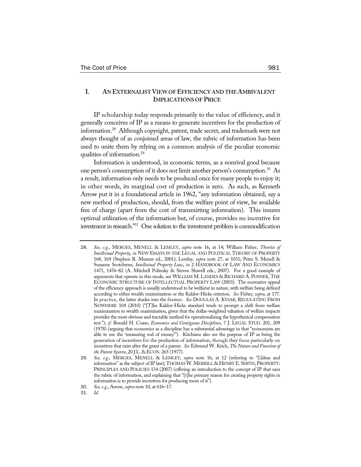## **I. AN EXTERNALIST VIEW OF EFFICIENCY AND THE AMBIVALENT IMPLICATIONS OF PRICE**

IP scholarship today responds primarily to the value of efficiency, and it generally conceives of IP as a means to generate incentives for the production of information.28 Although copyright, patent, trade secret, and trademark were not always thought of as conjoined areas of law, the rubric of information has been used to unite them by relying on a common analysis of the peculiar economic qualities of information.29

Information is understood, in economic terms, as a nonrival good because one person's consumption of it does not limit another person's consumption.<sup>30</sup> As a result, information only needs to be produced once for many people to enjoy it; in other words, its marginal cost of production is zero. As such, as Kenneth Arrow put it in a foundational article in 1962, "any information obtained, say a new method of production, should, from the welfare point of view, be available free of charge (apart from the cost of transmitting information). This insures optimal utilization of the information but, of course, provides no incentive for investment in research."31 One solution to the investment problem is commodification

<sup>28</sup>. *See, e.g.*, MERGES, MENELL & LEMLEY, *supra* note 16, at 14; William Fisher, *Theories of Intellectual Property*, *in* NEW ESSAYS IN THE LEGAL AND POLITICAL THEORY OF PROPERTY 168, 169 (Stephen R. Munzer ed., 2001); Lemley, *supra* note 27, at 1031; Peter S. Menell & Suzanne Scotchmer, *Intellectual Property Law*, *in* 2 HANDBOOK OF LAW AND ECONOMICS 1471, 1476–82 (A. Mitchell Polinsky & Steven Shavell eds., 2007). For a good example of arguments that operate in this mode, see WILLIAM M. LANDES & RICHARD A. POSNER, THE ECONOMIC STRUCTURE OF INTELLECTUAL PROPERTY LAW (2003). The normative appeal of the efficiency approach is usually understood to be welfarist in nature, with welfare being defined according to either wealth maximization or the Kaldor-Hicks criterion. *See* Fisher, *supra*, at 177. In practice, the latter shades into the former. *See* DOUGLAS A. KYSAR, REGULATING FROM NOWHERE 104 (2010) ("[T]he Kaldor-Hicks standard tends to prompt a shift from welfare maximization to wealth maximization, given that the dollar-weighted valuation of welfare impacts provides the most obvious and tractable method for operationalizing the hypothetical compensation test."); *cf.* Ronald H. Coase, *Economics and Contiguous Disciplines*, 7 J. LEGAL STUD. 201, 209 (1978) (arguing that economics as a discipline has a substantial advantage in that "economists are able to use the 'measuring rod of money'"). Kitchians also see the purpose of IP as being the generation of incentives for the production of information, though they focus particularly on incentives that exist after the grant of a patent. *See* Edmund W. Kitch, *The Nature and Function of the Patent System*, 20 J.L. & ECON. 265 (1977).

<sup>29</sup>. *See, e.g.*, MERGES, MENELL & LEMLEY, *supra* note 16, at 12 (referring to "[i]deas and information" as the subject of IP law); THOMAS W.MERRILL & HENRY E. SMITH, PROPERTY: PRINCIPLES AND POLICIES 134 (2007) (offering an introduction to the concept of IP that uses the rubric of information, and explaining that "[t]he primary reason for creating property rights in information is to provide incentives for producing more of it").

<sup>30</sup>. *See, e.g.*, Arrow, *supra* note 10, at 616–17.

<sup>31</sup>. *Id.*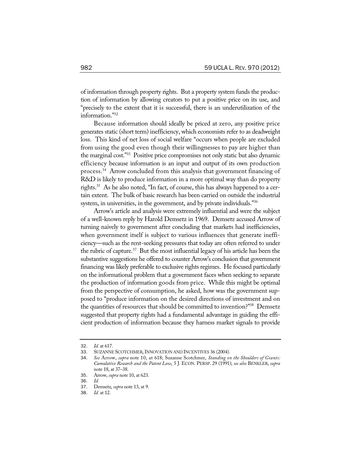of information through property rights. But a property system funds the production of information by allowing creators to put a positive price on its use, and "precisely to the extent that it is successful, there is an underutilization of the information."32

Because information should ideally be priced at zero, any positive price generates static (short term) inefficiency, which economists refer to as deadweight loss. This kind of net loss of social welfare "occurs when people are excluded from using the good even though their willingnesses to pay are higher than the marginal cost."33 Positive price compromises not only static but also dynamic efficiency because information is an input and output of its own production process.34 Arrow concluded from this analysis that government financing of R&D is likely to produce information in a more optimal way than do property rights.35 As he also noted, "In fact, of course, this has always happened to a certain extent. The bulk of basic research has been carried on outside the industrial system, in universities, in the government, and by private individuals."<sup>36</sup>

Arrow's article and analysis were extremely influential and were the subject of a well-known reply by Harold Demsetz in 1969. Demsetz accused Arrow of turning naïvely to government after concluding that markets had inefficiencies, when government itself is subject to various influences that generate inefficiency—such as the rent-seeking pressures that today are often referred to under the rubric of capture. $37$  But the most influential legacy of his article has been the substantive suggestions he offered to counter Arrow's conclusion that government financing was likely preferable to exclusive rights regimes. He focused particularly on the informational problem that a government faces when seeking to separate the production of information goods from price. While this might be optimal from the perspective of consumption, he asked, how was the government supposed to "produce information on the desired directions of investment and on the quantities of resources that should be committed to invention?"38 Demsetz suggested that property rights had a fundamental advantage in guiding the efficient production of information because they harness market signals to provide

<sup>32</sup>. *Id.* at 617.

<sup>33</sup>. SUZANNE SCOTCHMER,INNOVATION AND INCENTIVES 36 (2004).

<sup>34</sup>. *See* Arrow, *supra* note 10, at 618; Suzanne Scotchmer, *Standing on the Shoulders of Giants: Cumulative Research and the Patent Law*, 5 J. ECON. PERSP. 29 (1991); *see also* BENKLER, *supra* note 18, at 37–38.

<sup>35</sup>. Arrow, *supra* note 10, at 623.

<sup>36</sup>. *Id.*

<sup>37</sup>. Demsetz, *supra* note 13, at 9.

*Id.* at 12.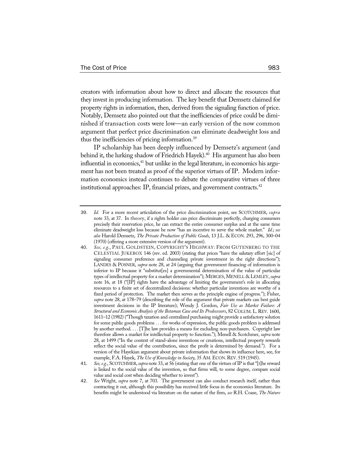creators with information about how to direct and allocate the resources that they invest in producing information. The key benefit that Demsetz claimed for property rights in information, then, derived from the signaling function of price. Notably, Demsetz also pointed out that the inefficiencies of price could be diminished if transaction costs were low—an early version of the now common argument that perfect price discrimination can eliminate deadweight loss and thus the inefficiencies of pricing information.39

IP scholarship has been deeply influenced by Demsetz's argument (and behind it, the lurking shadow of Friedrich Hayek).<sup>40</sup> His argument has also been influential in economics, $41$  but unlike in the legal literature, in economics his argument has not been treated as proof of the superior virtues of IP. Modern information economics instead continues to debate the comparative virtues of three institutional approaches: IP, financial prizes, and government contracts.<sup>42</sup>

<sup>39</sup>. *Id.* For a more recent articulation of the price discrimination point, see SCOTCHMER, *supra* note 33, at 37. In theory, if a rights holder can price discriminate perfectly, charging consumers precisely their reservation price, he can extract the entire consumer surplus and at the same time eliminate deadweight loss because he now "has an incentive to serve the whole market." *Id.*; *see also* Harold Demsetz, *The Private Production of Public Goods*, 13 J.L. & ECON. 293, 296, 300–04 (1970) (offering a more extensive version of the argument).

<sup>40</sup>. *See, e.g.*, PAUL GOLDSTEIN, COPYRIGHT'S HIGHWAY: FROM GUTENBERG TO THE CELESTIAL JUKEBOX 146 (rev. ed. 2003) (stating that prices "have the salutary effort [sic] of signaling consumer preference and channeling private investment in the right directions"); LANDES & POSNER, *supra* note 28, at 24 (arguing that government financing of information is inferior to IP because it "substitut[es] a governmental determination of the value of particular types of intellectual property for a market determination"); MERGES,MENELL & LEMLEY, *supra* note 16, at 18 ("[IP] rights have the advantage of limiting the government's role in allocating resources to a finite set of decentralized decisions: whether particular inventions are worthy of a fixed period of protection. The market then serves as the principle engine of progress."); Fisher, *supra* note 28, at 178–79 (describing the role of the argument that private markets can best guide investment decisions in the IP literature); Wendy J. Gordon, *Fair Use as Market Failure: A Structural and Economic Analysis of the Betamax Case and Its Predecessors*, 82 COLUM. L. REV. 1600, 1611–12 (1982) ("Though taxation and centralized purchasing might provide a satisfactory solution for some public goods problems . . . for works of expression, the public goods problem is addressed by another method. . . . [T]he law provides a means for excluding non-purchasers. Copyright law therefore allows a market for intellectual property to function."); Menell & Scotchmer, *supra* note 28, at 1499 ("In the context of stand-alone inventions or creations, intellectual property rewards reflect the social value of the contribution, since the profit is determined by demand."). For a version of the Hayekian argument about private information that shows its influence here, see, for example, F.A. Hayek, The Use of Knowledge in Society, 35 AM. ECON. REV. 519 (1945).

<sup>41</sup>. *See, e.g.*, SCOTCHMER,*supra* note 33, at 56 (stating that one of the virtues of IP is that "[t]he reward is linked to the social value of the invention, so that firms will, to some degree, compare social value and social cost when deciding whether to invest").

<sup>42</sup>. *See* Wright, *supra* note 7, at 703. The government can also conduct research itself, rather than contracting it out, although this possibility has received little focus in the economics literature. Its benefits might be understood via literature on the nature of the firm, *see* R.H. Coase, *The Nature*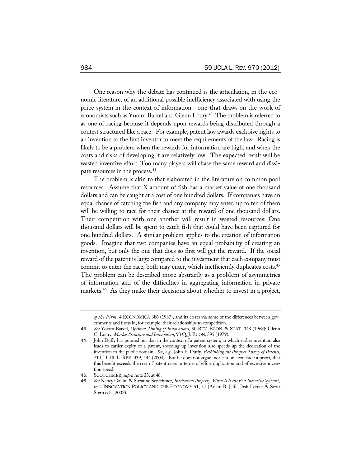One reason why the debate has continued is the articulation, in the economic literature, of an additional possible inefficiency associated with using the price system in the context of information—one that draws on the work of economists such as Yoram Barzel and Glenn Loury.<sup>43</sup> The problem is referred to as one of racing because it depends upon rewards being distributed through a contest structured like a race. For example, patent law awards exclusive rights to an invention to the first inventor to meet the requirements of the law. Racing is likely to be a problem when the rewards for information are high, and when the costs and risks of developing it are relatively low. The expected result will be wasted inventive effort: Too many players will chase the same reward and dissipate resources in the process.44

The problem is akin to that elaborated in the literature on common pool resources. Assume that X amount of fish has a market value of one thousand dollars and can be caught at a cost of one hundred dollars. If companies have an equal chance of catching the fish and any company may enter, up to ten of them will be willing to race for their chance at the reward of one thousand dollars. Their competition with one another will result in wasted resources: One thousand dollars will be spent to catch fish that could have been captured for one hundred dollars. A similar problem applies to the creation of information goods. Imagine that two companies have an equal probability of creating an invention, but only the one that does so first will get the reward. If the social reward of the patent is large compared to the investment that each company must commit to enter the race, both may enter, which inefficiently duplicates costs.<sup>45</sup> The problem can be described more abstractly as a problem of asymmetries of information and of the difficulties in aggregating information in private markets.<sup>46</sup> As they make their decisions about whether to invest in a project,

*of the Firm*, 4 ECONOMICA 386 (1937), and its costs via some of the differences between governments and firms in, for example, their relationships to competition.

<sup>43</sup>. *See* Yoram Barzel, *Optimal Timing of Innovations*, 50 REV. ECON. & STAT. 348 (1968); Glenn C. Loury, *Market Structure and Innovation*, 93 Q. J. ECON. 395 (1979).

<sup>44</sup>. John Duffy has pointed out that in the context of a patent system, in which earlier invention also leads to earlier expiry of a patent, speeding up invention also speeds up the dedication of the invention to the public domain. *See, e.g.*, John F. Duffy, *Rethinking the Prospect Theory of Patents*, 71 U. CHI. L. REV. 439, 444 (2004). But he does not argue, nor can one conclude a priori, that this benefit exceeds the cost of patent races in terms of effort duplication and of excessive invention speed.

<sup>45</sup>. SCOTCHMER, *supra* note 33, at 46.

<sup>46</sup>. *See* Nancy Gallini & Suzanne Scotchmer, *Intellectual Property: When Is It the Best Incentive System?*, *in* 2 INNOVATION POLICY AND THE ECONOMY 51, 57 (Adam B. Jaffe, Josh Lerner & Scott Stern eds., 2002).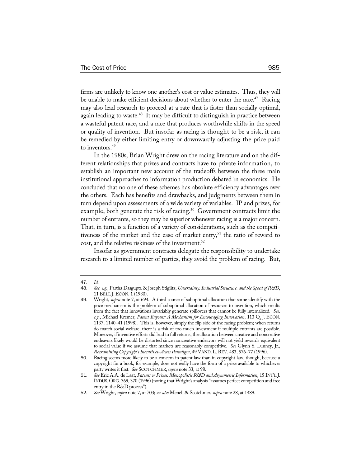firms are unlikely to know one another's cost or value estimates. Thus, they will be unable to make efficient decisions about whether to enter the race.<sup>47</sup> Racing may also lead research to proceed at a rate that is faster than socially optimal, again leading to waste.<sup>48</sup> It may be difficult to distinguish in practice between a wasteful patent race, and a race that produces worthwhile shifts in the speed or quality of invention. But insofar as racing is thought to be a risk, it can be remedied by either limiting entry or downwardly adjusting the price paid to inventors.<sup>49</sup>

In the 1980s, Brian Wright drew on the racing literature and on the different relationships that prizes and contracts have to private information, to establish an important new account of the tradeoffs between the three main institutional approaches to information production debated in economics. He concluded that no one of these schemes has absolute efficiency advantages over the others. Each has benefits and drawbacks, and judgments between them in turn depend upon assessments of a wide variety of variables. IP and prizes, for example, both generate the risk of racing.<sup>50</sup> Government contracts limit the number of entrants, so they may be superior whenever racing is a major concern. That, in turn, is a function of a variety of considerations, such as the competitiveness of the market and the ease of market entry,<sup>51</sup> the ratio of reward to cost, and the relative riskiness of the investment.<sup>52</sup>

Insofar as government contracts delegate the responsibility to undertake research to a limited number of parties, they avoid the problem of racing. But,

<sup>47</sup>. *Id.*

<sup>48</sup>. *See, e.g.*, Partha Dasgupta & Joseph Stiglitz, *Uncertainty, Industrial Structure, and the Speed of R&D*, 11 BELL J.ECON. 1 (1980).

<sup>49</sup>. Wright, *supra* note 7, at 694. A third source of suboptimal allocation that some identify with the price mechanism is the problem of suboptimal allocation of resources to invention, which results from the fact that innovations invariably generate spillovers that cannot be fully internalized. *See, e.g.*, Michael Kremer, *Patent Buyouts: A Mechanism for Encouraging Innovation*, 113 Q. J. ECON. 1137, 1140–41 (1998). This is, however, simply the flip side of the racing problem; when returns do match social welfare, there is a risk of too much investment if multiple entrants are possible. Moreover, if inventive efforts did lead to full returns, the allocation between creative and noncreative endeavors likely would be distorted since noncreative endeavors will not yield rewards equivalent to social value if we assume that markets are reasonably competitive. *See* Glynn S. Lunney, Jr., *Reexamining Copyright's Incentives–Access Paradigm*, 49 VAND.L.REV. 483, 576–77 (1996).

<sup>50</sup>. Racing seems more likely to be a concern in patent law than in copyright law, though, because a copyright for a book, for example, does not really have the form of a prize available to whichever party writes it first. *See* SCOTCHMER, *supra* note 33, at 98.

<sup>51</sup>. *See* Eric A.A. de Laat, *Patents or Prizes: Monopolistic R&D and Asymmetric Information*, 15 INT'L J. INDUS. ORG. 369, 370 (1996) (noting that Wright's analysis "assumes perfect competition and free entry in the R&D process").

<sup>52</sup>. *See* Wright, *supra* note 7, at 703; *see also* Menell & Scotchmer, *supra* note 28, at 1489.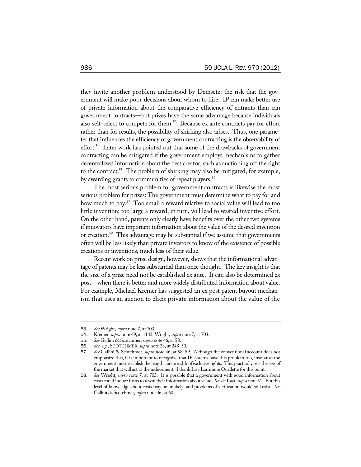they invite another problem understood by Demsetz: the risk that the government will make poor decisions about whom to hire. IP can make better use of private information about the comparative efficiency of entrants than can government contracts—but prizes have the same advantage because individuals also self-select to compete for them.<sup>53</sup> Because ex ante contracts pay for effort rather than for results, the possibility of shirking also arises. Thus, one parameter that influences the efficiency of government contracting is the observability of effort.<sup>54</sup> Later work has pointed out that some of the drawbacks of government contracting can be mitigated if the government employs mechanisms to gather decentralized information about the best creator, such as auctioning off the right to the contract.<sup>55</sup> The problem of shirking may also be mitigated, for example, by awarding grants to communities of repeat players.<sup>56</sup>

The most serious problem for government contracts is likewise the most serious problem for prizes: The government must determine what to pay for and how much to pay.<sup>57</sup> Too small a reward relative to social value will lead to too little invention; too large a reward, in turn, will lead to wasted inventive effort. On the other hand, patents only clearly have benefits over the other two systems if innovators have important information about the value of the desired invention or creation.58 This advantage may be substantial if we assume that governments often will be less likely than private investors to know of the existence of possible creations or inventions, much less of their value.

Recent work on prize design, however, shows that the informational advantage of patents may be less substantial than once thought. The key insight is that the size of a prize need not be established ex ante. It can also be determined ex post—when there is better and more widely distributed information about value. For example, Michael Kremer has suggested an ex post patent buyout mechanism that uses an auction to elicit private information about the value of the

<sup>53</sup>. *See* Wright, *supra* note 7, at 703.

<sup>54</sup>. Kremer, *supra* note 49, at 1143; Wright, *supra* note 7, at 703.

<sup>55</sup>. *See* Gallini & Scotchmer, *supra* note 46, at 58.

<sup>56</sup>. *See, e.g.*, SCOTCHMER, *supra* note 33, at 248–50.

<sup>57</sup>. *See* Gallini & Scotchmer, *supra* note 46, at 58–59. Although the conventional account does not emphasize this, it is important to recognize that IP systems have this problem too, insofar as the government must establish the length and breadth of exclusive rights. This practically sets the size of the market that will act as the inducement. I thank Lisa Larrimore Ouellette for this point.

<sup>58</sup>. *See* Wright, *supra* note 7, at 703. It is possible that a government with good information about costs could induce firms to reveal their information about value. *See* de Laat, *supra* note 51. But this level of knowledge about costs may be unlikely, and problems of verification would still exist. *See* Gallini & Scotchmer, *supra* note 46, at 60.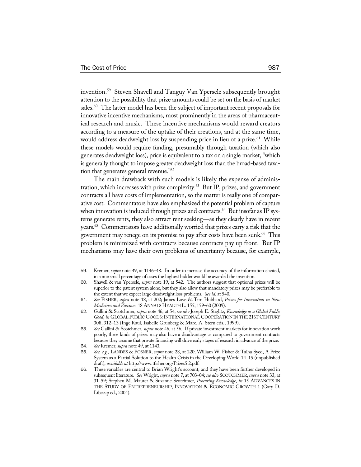invention.59 Steven Shavell and Tanguy Van Ypersele subsequently brought attention to the possibility that prize amounts could be set on the basis of market sales.<sup>60</sup> The latter model has been the subject of important recent proposals for innovative incentive mechanisms, most prominently in the areas of pharmaceutical research and music. These incentive mechanisms would reward creators according to a measure of the uptake of their creations, and at the same time, would address deadweight loss by suspending price in lieu of a prize.<sup>61</sup> While these models would require funding, presumably through taxation (which also generates deadweight loss), price is equivalent to a tax on a single market, "which is generally thought to impose greater deadweight loss than the broad-based taxation that generates general revenue."62

The main drawback with such models is likely the expense of administration, which increases with prize complexity.<sup>63</sup> But IP, prizes, and government contracts all have costs of implementation, so the matter is really one of comparative cost. Commentators have also emphasized the potential problem of capture when innovation is induced through prizes and contracts.<sup>64</sup> But insofar as IP systems generate rents, they also attract rent seeking—as they clearly have in recent years.<sup>65</sup> Commentators have additionally worried that prizes carry a risk that the government may renege on its promise to pay after costs have been sunk.<sup>66</sup> This problem is minimized with contracts because contracts pay up front. But IP mechanisms may have their own problems of uncertainty because, for example,

<sup>59</sup>. Kremer, *supra* note 49, at 1146–48. In order to increase the accuracy of the information elicited, in some small percentage of cases the highest bidder would be awarded the invention.

<sup>60</sup>. Shavell & van Ypersele, *supra* note 19, at 542. The authors suggest that optional prizes will be superior to the patent system alone, but they also allow that mandatory prizes may be preferable to the extent that we expect large deadweight loss problems. *See id.* at 540.

<sup>61</sup>. *See* FISHER, *supra* note 18, at 202; James Love & Tim Hubbard, *Prizes for Innovation in New Medicines and Vaccines*, 18 ANNALS HEALTH L. 155, 159–60 (2009).

<sup>62</sup>. Gallini & Scotchmer, *supra* note 46, at 54; *see also* Joseph E. Stiglitz, *Knowledge as a Global Public*  Good, in GLOBAL PUBLIC GOODS: INTERNATIONAL COOPERATION IN THE 21ST CENTURY 308, 312–13 (Inge Kaul, Isabelle Grunberg & Marc. A. Stern eds., 1999).

<sup>63</sup>. *See* Gallini & Scotchmer, *supra* note 46, at 56. If private investment markets for innovation work poorly, these kinds of prizes may also have a disadvantage as compared to government contracts because they assume that private financing will drive early stages of research in advance of the prize.

<sup>64</sup>. *See* Kremer, *supra* note 49, at 1143.

<sup>65</sup>. *See, e.g.*, LANDES & POSNER, *supra* note 28, at 220; William W. Fisher & Talha Syed, A Prize System as a Partial Solution to the Health Crisis in the Developing World 14–15 (unpublished draft), *available at* http://www.tfisher.org/Prizes5.2.pdf.

<sup>66</sup>. These variables are central to Brian Wright's account, and they have been further developed in subsequent literature. *See* Wright, *supra* note 7, at 703–04; *see also* SCOTCHMER, *supra* note 33, at 31–59; Stephen M. Maurer & Suzanne Scotchmer, *Procuring Knowledge*, *in* 15 ADVANCES IN THE STUDY OF ENTREPRENEURSHIP, INNOVATION & ECONOMIC GROWTH 1 (Gary D. Libecap ed., 2004).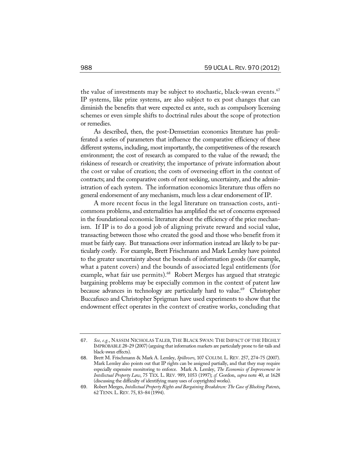the value of investments may be subject to stochastic, black-swan events.<sup>67</sup> IP systems, like prize systems, are also subject to ex post changes that can diminish the benefits that were expected ex ante, such as compulsory licensing schemes or even simple shifts to doctrinal rules about the scope of protection or remedies.

As described, then, the post-Demsetzian economics literature has proliferated a series of parameters that influence the comparative efficiency of these different systems, including, most importantly, the competitiveness of the research environment; the cost of research as compared to the value of the reward; the riskiness of research or creativity; the importance of private information about the cost or value of creation; the costs of overseeing effort in the context of contracts; and the comparative costs of rent seeking, uncertainty, and the administration of each system. The information economics literature thus offers no general endorsement of any mechanism, much less a clear endorsement of IP.

A more recent focus in the legal literature on transaction costs, anticommons problems, and externalities has amplified the set of concerns expressed in the foundational economic literature about the efficiency of the price mechanism. If IP is to do a good job of aligning private reward and social value, transacting between those who created the good and those who benefit from it must be fairly easy. But transactions over information instead are likely to be particularly costly. For example, Brett Frischmann and Mark Lemley have pointed to the greater uncertainty about the bounds of information goods (for example, what a patent covers) and the bounds of associated legal entitlements (for example, what fair use permits).<sup>68</sup> Robert Merges has argued that strategic bargaining problems may be especially common in the context of patent law because advances in technology are particularly hard to value.<sup>69</sup> Christopher Buccafusco and Christopher Sprigman have used experiments to show that the endowment effect operates in the context of creative works, concluding that

<sup>67</sup>. *See, e.g.*, NASSIM NICHOLAS TALEB, THE BLACK SWAN: THE IMPACT OF THE HIGHLY IMPROBABLE 28–29 (2007) (arguing that information markets are particularly prone to fat-tails and black-swan effects).

<sup>68</sup>. Brett M. Frischmann & Mark A. Lemley, *Spillovers*, 107 COLUM. L. REV. 257, 274–75 (2007). Mark Lemley also points out that IP rights can be assigned partially, and that they may require especially expensive monitoring to enforce. Mark A. Lemley, *The Economics of Improvement in Intellectual Property Law*, 75 TEX. L. REV. 989, 1053 (1997); *cf.* Gordon, *supra* note 40, at 1628 (discussing the difficulty of identifying many uses of copyrighted works).

<sup>69</sup>. Robert Merges, *Intellectual Property Rights and Bargaining Breakdown: The Case of Blocking Patents*, 62 TENN.L.REV. 75, 83–84 (1994).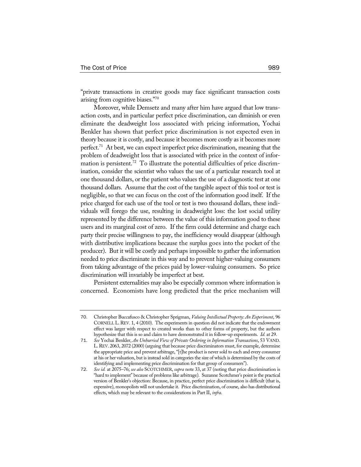"private transactions in creative goods may face significant transaction costs arising from cognitive biases."70

Moreover, while Demsetz and many after him have argued that low transaction costs, and in particular perfect price discrimination, can diminish or even eliminate the deadweight loss associated with pricing information, Yochai Benkler has shown that perfect price discrimination is not expected even in theory because it is costly, and because it becomes more costly as it becomes more perfect.<sup>71</sup> At best, we can expect imperfect price discrimination, meaning that the problem of deadweight loss that is associated with price in the context of information is persistent.<sup>72</sup> To illustrate the potential difficulties of price discrimination, consider the scientist who values the use of a particular research tool at one thousand dollars, or the patient who values the use of a diagnostic test at one thousand dollars. Assume that the cost of the tangible aspect of this tool or test is negligible, so that we can focus on the cost of the information good itself. If the price charged for each use of the tool or test is two thousand dollars, these individuals will forego the use, resulting in deadweight loss: the lost social utility represented by the difference between the value of this information good to these users and its marginal cost of zero. If the firm could determine and charge each party their precise willingness to pay, the inefficiency would disappear (although with distributive implications because the surplus goes into the pocket of the producer). But it will be costly and perhaps impossible to gather the information needed to price discriminate in this way and to prevent higher-valuing consumers from taking advantage of the prices paid by lower-valuing consumers. So price discrimination will invariably be imperfect at best.

Persistent externalities may also be especially common where information is concerned. Economists have long predicted that the price mechanism will

<sup>70</sup>. Christopher Buccafusco & Christopher Sprigman, *Valuing Intellectual Property: An Experiment*, 96 CORNELL L.REV. 1, 4 (2010). The experiments in question did not indicate that the endowment effect was larger with respect to created works than to other forms of property, but the authors hypothesize that this is so and claim to have demonstrated it in follow-up experiments. *Id.* at 29.

<sup>71</sup>. *See* Yochai Benkler, *An Unhurried View of Private Ordering in Information Transactions*, 53 VAND. L.REV. 2063, 2072 (2000) (arguing that because price discriminators must, for example, determine the appropriate price and prevent arbitrage, "[t]he product is never sold to each and every consumer at his or her valuation, but is instead sold in categories the size of which is determined by the costs of identifying and implementing price discrimination for that group of consumers").

<sup>72</sup>. *See id.* at 2075–76; *see also* SCOTCHMER, *supra* note 33, at 37 (noting that price discrimination is "hard to implement" because of problems like arbitrage). Suzanne Scotchmer's point is the practical version of Benkler's objection: Because, in practice, perfect price discrimination is difficult (that is, expensive), monopolists will not undertake it. Price discrimination, of course, also has distributional effects, which may be relevant to the considerations in Part II, *infra*.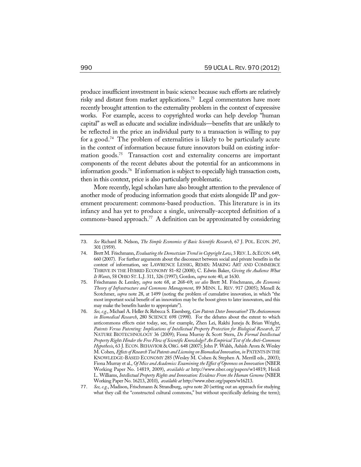produce insufficient investment in basic science because such efforts are relatively risky and distant from market applications.<sup>73</sup> Legal commentators have more recently brought attention to the externality problem in the context of expressive works. For example, access to copyrighted works can help develop "human capital" as well as educate and socialize individuals—benefits that are unlikely to be reflected in the price an individual party to a transaction is willing to pay for a good.<sup>74</sup> The problem of externalities is likely to be particularly acute in the context of information because future innovators build on existing information goods.<sup>75</sup> Transaction cost and externality concerns are important components of the recent debates about the potential for an anticommons in information goods.<sup>76</sup> If information is subject to especially high transaction costs, then in this context, price is also particularly problematic.

More recently, legal scholars have also brought attention to the prevalence of another mode of producing information goods that exists alongside IP and government procurement: commons-based production. This literature is in its infancy and has yet to produce a single, universally-accepted definition of a commons-based approach.<sup>77</sup> A definition can be approximated by considering

<sup>73</sup>. *See* Richard R. Nelson, *The Simple Economics of Basic Scientific Research*, 67 J. POL. ECON. 297, 301 (1959).

<sup>74</sup>. Brett M. Frischmann, *Evaluating the Demsetzian Trend in Copyright Law*, 3 REV.L. &ECON. 649, 660 (2007). For further arguments about the disconnect between social and private benefits in the context of information, see LAWRENCE LESSIG, REMIX: MAKING ART AND COMMERCE THRIVE IN THE HYBRID ECONOMY 81–82 (2008); C. Edwin Baker, *Giving the Audience What It Wants*, 58 OHIO ST.L.J. 311, 326 (1997); Gordon, *supra* note 40, at 1630.

<sup>75</sup>. Frischmann & Lemley, *supra* note 68, at 268–69; *see also* Brett M. Frischmann, *An Economic Theory of Infrastructure and Commons Management*, 89 MINN. L. REV. 917 (2005); Menell & Scotchmer, *supra* note 28, at 1499 (noting the problem of cumulative innovation, in which "the most important social benefit of an innovation may be the boost given to later innovators, and this may make the benefits harder to appropriate").

<sup>76</sup>. *See, e.g.*, Michael A. Heller & Rebecca S. Eisenberg, *Can Patents Deter Innovation? The Anticommons in Biomedical Research*, 280 SCIENCE 698 (1998). For the debates about the extent to which anticommons effects exist today, see, for example, Zhen Lei, Rakhi Juneja & Brian Wright, *Patents Versus Patenting: Implications of Intellectual Property Protection for Biological Research*, 27 NATURE BIOTECHNOLOGY 36 (2009); Fiona Murray & Scott Stern, *Do Formal Intellectual Property Rights Hinder the Free Flow of Scientific Knowledge? An Empirical Test of the Anti-Commons Hypothesis*, 63 J. ECON. BEHAVIOR & ORG. 648 (2007); John P. Walsh, Ashish Arora & Wesley M. Cohen, *Effects of Research Tool Patents and Licensing on Biomedical Innovation*, *in* PATENTS IN THE KNOWLEDGE-BASED ECONOMY 285 (Wesley M. Cohen & Stephen A. Merrill eds., 2003); Fiona Murray et al., *Of Mice and Academics: Examining the Effect of Openness on Innovation* (NBER Working Paper No. 14819, 2009), *available at* http://www.nber.org/papers/w14819; Heidi L. Williams, *Intellectual Property Rights and Innovation: Evidence From the Human Genome* (NBER Working Paper No. 16213, 2010), *available at* http://www.nber.org/papers/w16213.

<sup>77</sup>. *See, e.g.*, Madison, Frischmann & Strandburg, *supra* note 20 (setting out an approach for studying what they call the "constructed cultural commons," but without specifically defining the term);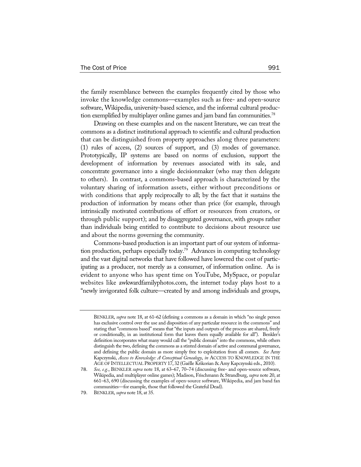the family resemblance between the examples frequently cited by those who invoke the knowledge commons—examples such as free- and open-source software, Wikipedia, university-based science, and the informal cultural production exemplified by multiplayer online games and jam band fan communities.<sup>78</sup>

Drawing on these examples and on the nascent literature, we can treat the commons as a distinct institutional approach to scientific and cultural production that can be distinguished from property approaches along three parameters: (1) rules of access, (2) sources of support, and (3) modes of governance. Prototypically, IP systems are based on norms of exclusion, support the development of information by revenues associated with its sale, and concentrate governance into a single decisionmaker (who may then delegate to others). In contrast, a commons-based approach is characterized by the voluntary sharing of information assets, either without preconditions or with conditions that apply reciprocally to all; by the fact that it sustains the production of information by means other than price (for example, through intrinsically motivated contributions of effort or resources from creators, or through public support); and by disaggregated governance, with groups rather than individuals being entitled to contribute to decisions about resource use and about the norms governing the community.

Commons-based production is an important part of our system of information production, perhaps especially today.79 Advances in computing technology and the vast digital networks that have followed have lowered the cost of participating as a producer, not merely as a consumer, of information online. As is evident to anyone who has spent time on YouTube, MySpace, or popular websites like awkwardfamilyphotos.com, the internet today plays host to a "newly invigorated folk culture—created by and among individuals and groups,

BENKLER, *supra* note 18, at 61–62 (defining a commons as a domain in which "no single person has exclusive control over the use and disposition of any particular resource in the commons" and stating that "commons based" means that "the inputs and outputs of the process are shared, freely or conditionally, in an institutional form that leaves them equally available for all"). Benkler's definition incorporates what many would call the "public domain" into the commons, while others distinguish the two, defining the commons as a stinted domain of active and communal governance, and defining the public domain as more simply free to exploitation from all comers. *See* Amy Kapczynski, *Access to Knowledge: A Conceptual Genealogy*, *in* ACCESS TO KNOWLEDGE IN THE AGE OF INTELLECTUAL PROPERTY 17, 32 (Gaëlle Krikorian & Amy Kapczynski eds., 2010).

<sup>78</sup>. *See, e.g.*, BENKLER *supra* note 18, at 63–67, 70–74 (discussing free- and open-source software, Wikipedia, and multiplayer online games); Madison, Frischmann & Strandburg, *supra* note 20, at 661–63, 690 (discussing the examples of open-source software, Wikipedia, and jam band fan communities—for example, those that followed the Grateful Dead).

<sup>79</sup>. BENKLER, *supra* note 18, at 35.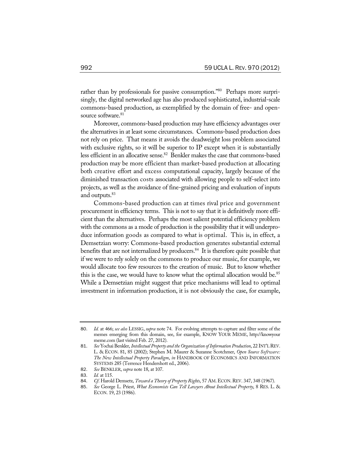rather than by professionals for passive consumption."<sup>80</sup> Perhaps more surprisingly, the digital networked age has also produced sophisticated, industrial-scale commons-based production, as exemplified by the domain of free- and opensource software.<sup>81</sup>

Moreover, commons-based production may have efficiency advantages over the alternatives in at least some circumstances. Commons-based production does not rely on price. That means it avoids the deadweight loss problem associated with exclusive rights, so it will be superior to IP except when it is substantially less efficient in an allocative sense.<sup>82</sup> Benkler makes the case that commons-based production may be more efficient than market-based production at allocating both creative effort and excess computational capacity, largely because of the diminished transaction costs associated with allowing people to self-select into projects, as well as the avoidance of fine-grained pricing and evaluation of inputs and outputs.<sup>83</sup>

Commons-based production can at times rival price and government procurement in efficiency terms. This is not to say that it is definitively more efficient than the alternatives. Perhaps the most salient potential efficiency problem with the commons as a mode of production is the possibility that it will underproduce information goods as compared to what is optimal. This is, in effect, a Demsetzian worry: Commons-based production generates substantial external benefits that are not internalized by producers. $84$  It is therefore quite possible that if we were to rely solely on the commons to produce our music, for example, we would allocate too few resources to the creation of music. But to know whether this is the case, we would have to know what the optimal allocation would be.<sup>85</sup> While a Demsetzian might suggest that price mechanisms will lead to optimal investment in information production, it is not obviously the case, for example,

<sup>80</sup>. *Id.* at 466; *see also* LESSIG, *supra* note 74. For evolving attempts to capture and filter some of the memes emerging from this domain, see, for example, KNOW YOUR MEME, http://knowyour meme.com (last visited Feb. 27, 2012).

<sup>81</sup>. *See* Yochai Benkler, *Intellectual Property and the Organization of Information Production*, 22 INT'L REV. L. & ECON. 81, 85 (2002); Stephen M. Maurer & Suzanne Scotchmer, *Open Source Software: The New Intellectual Property Paradigm*, *in* HANDBOOK OF ECONOMICS AND INFORMATION SYSTEMS 285 (Terrence Hendershott ed., 2006).

<sup>82</sup>. *See* BENKLER, *supra* note 18, at 107.

<sup>83</sup>. *Id.* at 115.

<sup>84.</sup> *Cf.* Harold Demsetz, *Toward a Theory of Property Rights*, 57 AM. ECON. REV. 347, 348 (1967).

<sup>85</sup>. *See* George L. Priest, *What Economists Can Tell Lawyers About Intellectual Property*, 8 RES. L. & ECON. 19, 23 (1986).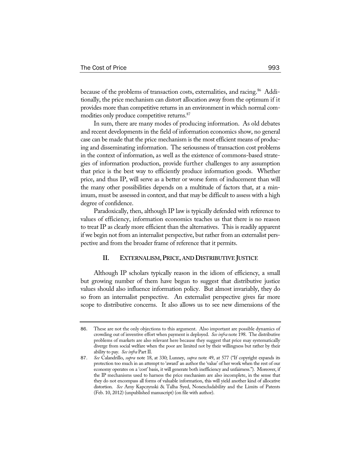because of the problems of transaction costs, externalities, and racing.<sup>86</sup> Additionally, the price mechanism can distort allocation away from the optimum if it provides more than competitive returns in an environment in which normal commodities only produce competitive returns.<sup>87</sup>

In sum, there are many modes of producing information. As old debates and recent developments in the field of information economics show, no general case can be made that the price mechanism is the most efficient means of producing and disseminating information. The seriousness of transaction cost problems in the context of information, as well as the existence of commons-based strategies of information production, provide further challenges to any assumption that price is the best way to efficiently produce information goods. Whether price, and thus IP, will serve as a better or worse form of inducement than will the many other possibilities depends on a multitude of factors that, at a minimum, must be assessed in context, and that may be difficult to assess with a high degree of confidence.

Paradoxically, then, although IP law is typically defended with reference to values of efficiency, information economics teaches us that there is no reason to treat IP as clearly more efficient than the alternatives. This is readily apparent if we begin not from an internalist perspective, but rather from an externalist perspective and from the broader frame of reference that it permits.

#### **II. EXTERNALISM,PRICE, AND DISTRIBUTIVE JUSTICE**

Although IP scholars typically reason in the idiom of efficiency, a small but growing number of them have begun to suggest that distributive justice values should also influence information policy. But almost invariably, they do so from an internalist perspective. An externalist perspective gives far more scope to distributive concerns. It also allows us to see new dimensions of the

<sup>86</sup>. These are not the only objections to this argument. Also important are possible dynamics of crowding out of inventive effort when payment is deployed. *See infra* note 198. The distributive problems of markets are also relevant here because they suggest that price may systematically diverge from social welfare when the poor are limited not by their willingness but rather by their ability to pay. *See infra* Part II.

<sup>87</sup>. *See* Calandrillo, *supra* note 18, at 330; Lunney, *supra* note 49, at 577 ("If copyright expands its protection too much in an attempt to 'award' an author the 'value' of her work when the rest of our economy operates on a 'cost' basis, it will generate both inefficiency and unfairness."). Moreover, if the IP mechanisms used to harness the price mechanism are also incomplete, in the sense that they do not encompass all forms of valuable information, this will yield another kind of allocative distortion. *See* Amy Kapczynski & Talha Syed, Nonexcludability and the Limits of Patents (Feb. 10, 2012) (unpublished manuscript) (on file with author).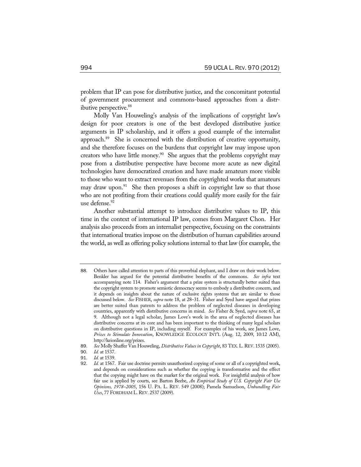problem that IP can pose for distributive justice, and the concomitant potential of government procurement and commons-based approaches from a distributive perspective.<sup>88</sup>

Molly Van Houweling's analysis of the implications of copyright law's design for poor creators is one of the best developed distributive justice arguments in IP scholarship, and it offers a good example of the internalist approach.89 She is concerned with the distribution of creative opportunity, and she therefore focuses on the burdens that copyright law may impose upon creators who have little money. $90$  She argues that the problems copyright may pose from a distributive perspective have become more acute as new digital technologies have democratized creation and have made amateurs more visible to those who want to extract revenues from the copyrighted works that amateurs may draw upon.<sup>91</sup> She then proposes a shift in copyright law so that those who are not profiting from their creations could qualify more easily for the fair use defense.<sup>92</sup>

Another substantial attempt to introduce distributive values to IP, this time in the context of international IP law, comes from Margaret Chon. Her analysis also proceeds from an internalist perspective, focusing on the constraints that international treaties impose on the distribution of human capabilities around the world, as well as offering policy solutions internal to that law (for example, the

<sup>88</sup>. Others have called attention to parts of this proverbial elephant, and I draw on their work below. Benkler has argued for the potential distributive benefits of the commons. *See infra* text accompanying note 114. Fisher's argument that a prize system is structurally better suited than the copyright system to promote semiotic democracy seems to embody a distributive concern, and it depends on insights about the nature of exclusive rights systems that are similar to those discussed below. *See* FISHER, *supra* note 18, at 28–31. Fisher and Syed have argued that prizes are better suited than patents to address the problem of neglected diseases in developing countries, apparently with distributive concerns in mind. *See* Fisher & Syed, *supra* note 65, at 9. Although not a legal scholar, James Love's work in the area of neglected diseases has distributive concerns at its core and has been important to the thinking of many legal scholars on distributive questions in IP, including myself. For examples of his work, see James Love, *Prizes to Stimulate Innovation*, KNOWLEDGE ECOLOGY INT'L (Aug. 12, 2009, 10:12 AM), http://keionline.org/prizes.

<sup>89.</sup> *See* Molly Shaffer Van Houweling, *Distributive Values in Copyright*, 83 TEX. L. REV. 1535 (2005).

<sup>90</sup>. *Id.* at 1537.

<sup>91</sup>. *Id.* at 1539.

<sup>92</sup>. *Id.* at 1567. Fair use doctrine permits unauthorized copying of some or all of a copyrighted work, and depends on considerations such as whether the copying is transformative and the effect that the copying might have on the market for the original work. For insightful analysis of how fair use is applied by courts, see Barton Beebe, *An Empirical Study of U.S. Copyright Fair Use Opinions, 1978–2005*, 156 U. PA. L. REV. 549 (2008); Pamela Samuelson, *Unbundling Fair Uses*, 77 FORDHAM L.REV. 2537 (2009).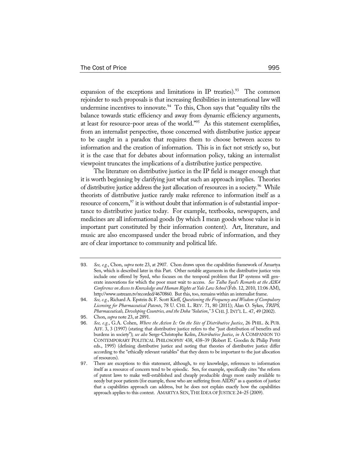expansion of the exceptions and limitations in IP treaties).<sup>93</sup> The common rejoinder to such proposals is that increasing flexibilities in international law will undermine incentives to innovate.<sup>94</sup> To this, Chon says that "equality tilts the balance towards static efficiency and away from dynamic efficiency arguments, at least for resource-poor areas of the world."95 As this statement exemplifies, from an internalist perspective, those concerned with distributive justice appear to be caught in a paradox that requires them to choose between access to information and the creation of information. This is in fact not strictly so, but it is the case that for debates about information policy, taking an internalist viewpoint truncates the implications of a distributive justice perspective.

The literature on distributive justice in the IP field is meager enough that it is worth beginning by clarifying just what such an approach implies. Theories of distributive justice address the just allocation of resources in a society.<sup>96</sup> While theorists of distributive justice rarely make reference to information itself as a resource of concern,<sup>97</sup> it is without doubt that information is of substantial importance to distributive justice today. For example, textbooks, newspapers, and medicines are all informational goods (by which I mean goods whose value is in important part constituted by their information content). Art, literature, and music are also encompassed under the broad rubric of information, and they are of clear importance to community and political life.

<sup>93</sup>. *See, e.g.*, Chon, *supra* note 23, at 2907. Chon draws upon the capabilities framework of Amartya Sen, which is described later in this Part. Other notable arguments in the distributive justice vein include one offered by Syed, who focuses on the temporal problem that IP systems will generate innovations for which the poor must wait to access. *See Talha Syed's Remarks at the A2K4 Conference on Access to Knowledge and Human Rights at Yale Law School* (Feb. 12, 2010, 11:06 AM), http://www.ustream.tv/recorded/4670860. But this, too, remains within an internalist frame.

<sup>94</sup>. *See, e.g.*, Richard A. Epstein & F. Scott Kieff, *Questioning the Frequency and Wisdom of Compulsory Licensing for Pharmaceutical Patents*, 78 U. CHI. L. REV. 71, 80 (2011); Alan O. Sykes, *TRIPS, Pharmaceuticals, Developing Countries, and the Doha "Solution*,*"* 3 CHI. J. INT'L L. 47, 49 (2002).

<sup>95</sup>. Chon, *supra* note 23, at 2891.

<sup>96</sup>. *See, e.g.*, G.A. Cohen, *Where the Action Is: On the Site of Distributive Justice*, 26 PHIL. & PUB. AFF. 3, 3 (1997) (stating that distributive justice refers to the "just distribution of benefits and burdens in society"); *see also* Serge-Christophe Kolm, *Distributive Justice*, *in* A COMPANION TO CONTEMPORARY POLITICAL PHILOSOPHY 438, 438–39 (Robert E. Goodin & Philip Pettit eds., 1995) (defining distributive justice and noting that theories of distributive justice differ according to the "ethically relevant variables" that they deem to be important to the just allocation of resources).

<sup>97</sup>. There are exceptions to this statement, although, to my knowledge, references to information itself as a resource of concern tend to be episodic. Sen, for example, specifically cites "the reform of patent laws to make well-established and cheaply producible drugs more easily available to needy but poor patients (for example, those who are suffering from AIDS)" as a question of justice that a capabilities approach can address, but he does not explain exactly how the capabilities approach applies to this context. AMARTYA SEN, THE IDEA OF JUSTICE 24–25 (2009).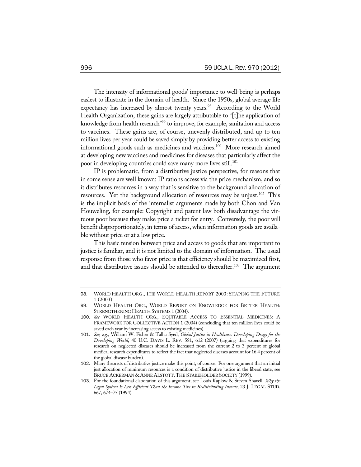The intensity of informational goods' importance to well-being is perhaps easiest to illustrate in the domain of health. Since the 1950s, global average life expectancy has increased by almost twenty years.<sup>98</sup> According to the World Health Organization, these gains are largely attributable to "[t]he application of knowledge from health research"<sup>99</sup> to improve, for example, sanitation and access to vaccines. These gains are, of course, unevenly distributed, and up to ten million lives per year could be saved simply by providing better access to existing informational goods such as medicines and vaccines.<sup>100</sup> More research aimed at developing new vaccines and medicines for diseases that particularly affect the poor in developing countries could save many more lives still.<sup>101</sup>

IP is problematic, from a distributive justice perspective, for reasons that in some sense are well known: IP rations access via the price mechanism, and so it distributes resources in a way that is sensitive to the background allocation of resources. Yet the background allocation of resources may be unjust.<sup>102</sup> This is the implicit basis of the internalist arguments made by both Chon and Van Houweling, for example: Copyright and patent law both disadvantage the virtuous poor because they make price a ticket for entry. Conversely, the poor will benefit disproportionately, in terms of access, when information goods are available without price or at a low price.

This basic tension between price and access to goods that are important to justice is familiar, and it is not limited to the domain of information. The usual response from those who favor price is that efficiency should be maximized first, and that distributive issues should be attended to thereafter.<sup>103</sup> The argument

<sup>98</sup>. WORLD HEALTH ORG., THE WORLD HEALTH REPORT 2003: SHAPING THE FUTURE 1 (2003).

<sup>99</sup>. WORLD HEALTH ORG., WORLD REPORT ON KNOWLEDGE FOR BETTER HEALTH: STRENGTHENING HEALTH SYSTEMS 1 (2004).

<sup>100</sup>. *See* WORLD HEALTH ORG., EQUITABLE ACCESS TO ESSENTIAL MEDICINES: A FRAMEWORK FOR COLLECTIVE ACTION 1 (2004) (concluding that ten million lives could be saved each year by increasing access to existing medicines).

<sup>101</sup>. *See, e.g.*, William W. Fisher & Talha Syed, *Global Justice in Healthcare: Developing Drugs for the Developing World*, 40 U.C. DAVIS L. REV. 581, 612 (2007) (arguing that expenditures for research on neglected diseases should be increased from the current 2 to 3 percent of global medical research expenditures to reflect the fact that neglected diseases account for 16.4 percent of the global disease burden).

<sup>102</sup>. Many theorists of distributive justice make this point, of course. For one argument that an initial just allocation of minimum resources is a condition of distributive justice in the liberal state, see BRUCE ACKERMAN & ANNE ALSTOTT, THE STAKEHOLDER SOCIETY (1999).

<sup>103</sup>. For the foundational elaboration of this argument, see Louis Kaplow & Steven Shavell, *Why the Legal System Is Less Efficient Than the Income Tax in Redistributing Income*, 23 J. LEGAL STUD. 667, 674–75 (1994).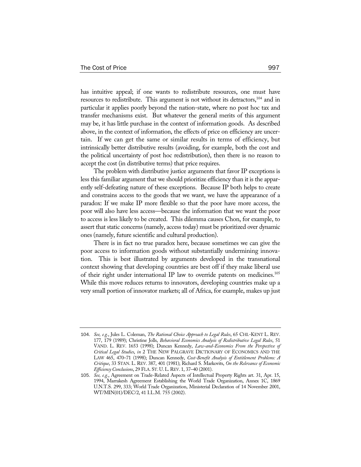has intuitive appeal; if one wants to redistribute resources, one must have resources to redistribute. This argument is not without its detractors,<sup>104</sup> and in particular it applies poorly beyond the nation-state, where no post hoc tax and transfer mechanisms exist. But whatever the general merits of this argument may be, it has little purchase in the context of information goods. As described above, in the context of information, the effects of price on efficiency are uncertain. If we can get the same or similar results in terms of efficiency, but intrinsically better distributive results (avoiding, for example, both the cost and the political uncertainty of post hoc redistribution), then there is no reason to accept the cost (in distributive terms) that price requires.

The problem with distributive justice arguments that favor IP exceptions is less this familiar argument that we should prioritize efficiency than it is the apparently self-defeating nature of these exceptions. Because IP both helps to create and constrains access to the goods that we want, we have the appearance of a paradox: If we make IP more flexible so that the poor have more access, the poor will also have less access—because the information that we want the poor to access is less likely to be created. This dilemma causes Chon, for example, to assert that static concerns (namely, access today) must be prioritized over dynamic ones (namely, future scientific and cultural production).

There is in fact no true paradox here, because sometimes we can give the poor access to information goods without substantially undermining innovation. This is best illustrated by arguments developed in the transnational context showing that developing countries are best off if they make liberal use of their right under international IP law to override patents on medicines.<sup>105</sup> While this move reduces returns to innovators, developing countries make up a very small portion of innovator markets; all of Africa, for example, makes up just

<sup>104</sup>. *See, e.g.*, Jules L. Coleman, *The Rational Choice Approach to Legal Rules*, 65 CHI.-KENT L. REV. 177, 179 (1989); Christine Jolls, *Behavioral Economics Analysis of Redistributive Legal Rules*, 51 VAND. L. REV. 1653 (1998); Duncan Kennedy, *Law-and-Economics From the Perspective of Critical Legal Studies*, *in* 2 THE NEW PALGRAVE DICTIONARY OF ECONOMICS AND THE LAW 465, 470–71 (1998); Duncan Kennedy, *Cost-Benefit Analysis of Entitlement Problems: A Critique*, 33 STAN. L. REV. 387, 401 (1981); Richard S. Markovits, *On the Relevance of Economic Efficiency Conclusions*, 29 FLA. ST. U.L.REV. 1, 37–40 (2001).

<sup>105</sup>. *See, e.g.*, Agreement on Trade-Related Aspects of Intellectual Property Rights art. 31, Apr. 15, 1994, Marrakesh Agreement Establishing the World Trade Organization, Annex 1C, 1869 U.N.T.S. 299, 333; World Trade Organization, Ministerial Declaration of 14 November 2001, WT/MIN(01)/DEC/2, 41 I.L.M. 755 (2002).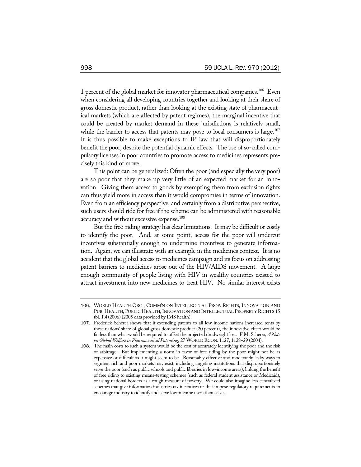1 percent of the global market for innovator pharmaceutical companies.<sup>106</sup> Even when considering all developing countries together and looking at their share of gross domestic product, rather than looking at the existing state of pharmaceutical markets (which are affected by patent regimes), the marginal incentive that could be created by market demand in these jurisdictions is relatively small, while the barrier to access that patents may pose to local consumers is large. $107$ It is thus possible to make exceptions to IP law that will disproportionately benefit the poor, despite the potential dynamic effects. The use of so-called compulsory licenses in poor countries to promote access to medicines represents precisely this kind of move.

This point can be generalized: Often the poor (and especially the very poor) are so poor that they make up very little of an expected market for an innovation. Giving them access to goods by exempting them from exclusion rights can thus yield more in access than it would compromise in terms of innovation. Even from an efficiency perspective, and certainly from a distributive perspective, such users should ride for free if the scheme can be administered with reasonable accuracy and without excessive expense.<sup>108</sup>

But the free-riding strategy has clear limitations. It may be difficult or costly to identify the poor. And, at some point, access for the poor will undercut incentives substantially enough to undermine incentives to generate information. Again, we can illustrate with an example in the medicines context. It is no accident that the global access to medicines campaign and its focus on addressing patent barriers to medicines arose out of the HIV/AIDS movement. A large enough community of people living with HIV in wealthy countries existed to attract investment into new medicines to treat HIV. No similar interest exists

<sup>106</sup>. WORLD HEALTH ORG., COMM'N ON INTELLECTUAL PROP. RIGHTS, INNOVATION AND PUB. HEALTH, PUBLIC HEALTH, INNOVATION AND INTELLECTUAL PROPERTY RIGHTS 15 tbl. 1.4 (2006) (2005 data provided by IMS health).

<sup>107</sup>. Frederick Scherer shows that if extending patents to all low-income nations increased rents by these nations' share of global gross domestic product (20 percent), the innovative effect would be far less than what would be required to offset the projected deadweight loss. F.M. Scherer, *A Note on Global Welfare in Pharmaceutical Patenting*, 27 WORLD ECON. 1127, 1128–29 (2004).

<sup>108</sup>. The main costs to such a system would be the cost of accurately identifying the poor and the risk of arbitrage. But implementing a norm in favor of free riding by the poor might not be as expensive or difficult as it might seem to be. Reasonably effective and moderately leaky ways to segment rich and poor markets may exist, including targeting institutions that disproportionately serve the poor (such as public schools and public libraries in low-income areas), linking the benefit of free riding to existing means-testing schemes (such as federal student assistance or Medicaid), or using national borders as a rough measure of poverty. We could also imagine less centralized schemes that give information industries tax incentives or that impose regulatory requirements to encourage industry to identify and serve low-income users themselves.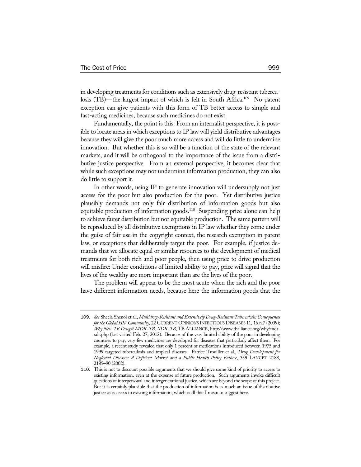in developing treatments for conditions such as extensively drug-resistant tuberculosis (TB)—the largest impact of which is felt in South Africa.<sup>109</sup> No patent exception can give patients with this form of TB better access to simple and fast-acting medicines, because such medicines do not exist.

Fundamentally, the point is this: From an internalist perspective, it is possible to locate areas in which exceptions to IP law will yield distributive advantages because they will give the poor much more access and will do little to undermine innovation. But whether this is so will be a function of the state of the relevant markets, and it will be orthogonal to the importance of the issue from a distributive justice perspective. From an external perspective, it becomes clear that while such exceptions may not undermine information production, they can also do little to support it.

In other words, using IP to generate innovation will undersupply not just access for the poor but also production for the poor. Yet distributive justice plausibly demands not only fair distribution of information goods but also equitable production of information goods.<sup>110</sup> Suspending price alone can help to achieve fairer distribution but not equitable production. The same pattern will be reproduced by all distributive exemptions in IP law whether they come under the guise of fair use in the copyright context, the research exemption in patent law, or exceptions that deliberately target the poor. For example, if justice demands that we allocate equal or similar resources to the development of medical treatments for both rich and poor people, then using price to drive production will misfire: Under conditions of limited ability to pay, price will signal that the lives of the wealthy are more important than are the lives of the poor.

The problem will appear to be the most acute when the rich and the poor have different information needs, because here the information goods that the

<sup>109</sup>. *See* Sheela Shenoi et al., *Multidrug-Resistant and Extensively Drug-Resistant Tuberculosis: Consequences for the Global HIV Community*, 22 CURRENT OPINIONS INFECTIOUS DISEASES 11, 16 n.7 (2009); *Why New TB Drugs? MDR-TB, XDR-TB*, TB ALLIANCE, http://www.tballiance.org/why/mdrxdr.php (last visited Feb. 27, 2012). Because of the very limited ability of the poor in developing countries to pay, very few medicines are developed for diseases that particularly affect them. For example, a recent study revealed that only 1 percent of medications introduced between 1975 and 1999 targeted tuberculosis and tropical diseases. Patrice Trouiller et al., *Drug Development for Neglected Diseases: A Deficient Market and a Public-Health Policy Failure*, 359 LANCET 2188, 2189–90 (2002).

<sup>110</sup>. This is not to discount possible arguments that we should give some kind of priority to access to existing information, even at the expense of future production. Such arguments invoke difficult questions of interpersonal and intergenerational justice, which are beyond the scope of this project. But it is certainly plausible that the production of information is as much an issue of distributive justice as is access to existing information, which is all that I mean to suggest here.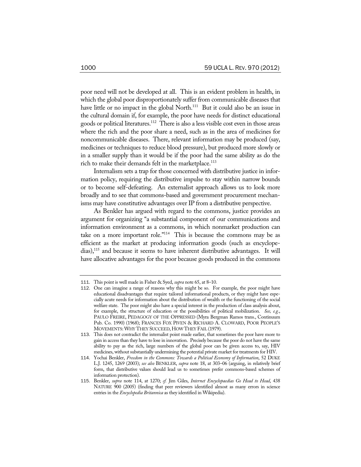poor need will not be developed at all. This is an evident problem in health, in which the global poor disproportionately suffer from communicable diseases that have little or no impact in the global North.<sup>111</sup> But it could also be an issue in the cultural domain if, for example, the poor have needs for distinct educational goods or political literatures.112 There is also a less visible cost even in those areas where the rich and the poor share a need, such as in the area of medicines for noncommunicable diseases. There, relevant information may be produced (say, medicines or techniques to reduce blood pressure), but produced more slowly or in a smaller supply than it would be if the poor had the same ability as do the rich to make their demands felt in the market place.<sup>113</sup>

Internalism sets a trap for those concerned with distributive justice in information policy, requiring the distributive impulse to stay within narrow bounds or to become self-defeating. An externalist approach allows us to look more broadly and to see that commons-based and government procurement mechanisms may have constitutive advantages over IP from a distributive perspective.

As Benkler has argued with regard to the commons, justice provides an argument for organizing "a substantial component of our communications and information environment as a commons, in which nonmarket production can take on a more important role."114 This is because the commons may be as efficient as the market at producing information goods (such as encyclopedias),115 and because it seems to have inherent distributive advantages. It will have allocative advantages for the poor because goods produced in the commons

<sup>111</sup>. This point is well made in Fisher & Syed, *supra* note 65, at 8–10.

<sup>112</sup>. One can imagine a range of reasons why this might be so. For example, the poor might have educational disadvantages that require tailored informational products, or they might have especially acute needs for information about the distribution of wealth or the functioning of the social welfare state. The poor might also have a special interest in the production of class analysis about, for example, the structure of education or the possibilities of political mobilization. *See, e.g.*, PAULO FREIRE, PEDAGOGY OF THE OPPRESSED (Myra Bergman Ramos trans., Continuum Pub. Co. 1990) (1968); FRANCES FOX PIVEN & RICHARD A. CLOWARD, POOR PEOPLE'S MOVEMENTS:WHY THEY SUCCEED, HOW THEY FAIL (1979).

<sup>113</sup>. This does not contradict the internalist point made earlier, that sometimes the poor have more to gain in access than they have to lose in innovation. Precisely because the poor do not have the same ability to pay as the rich, large numbers of the global poor can be given access to, say, HIV medicines, without substantially undermining the potential private market for treatments for HIV.

<sup>114</sup>. Yochai Benkler, *Freedom in the Commons: Towards a Political Economy of Information*, 52 DUKE L.J. 1245, 1269 (2003); *see also* BENKLER, *supra* note 18, at 303–06 (arguing, in relatively brief form, that distributive values should lead us to sometimes prefer commons-based schemes of information protection).

<sup>115</sup>. Benkler, *supra* note 114, at 1270; *cf.* Jim Giles, *Internet Encyclopaedias Go Head to Head*, 438 NATURE 900 (2005) (finding that peer reviewers identified almost as many errors in science entries in the *Encyclopedia Britannica* as they identified in Wikipedia).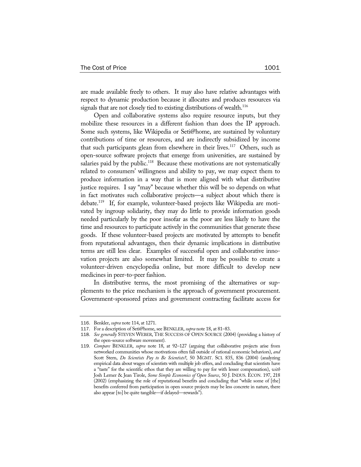are made available freely to others. It may also have relative advantages with respect to dynamic production because it allocates and produces resources via signals that are not closely tied to existing distributions of wealth.<sup>116</sup>

Open and collaborative systems also require resource inputs, but they mobilize these resources in a different fashion than does the IP approach. Some such systems, like Wikipedia or Seti@home, are sustained by voluntary contributions of time or resources, and are indirectly subsidized by income that such participants glean from elsewhere in their lives.<sup>117</sup> Others, such as open-source software projects that emerge from universities, are sustained by salaries paid by the public.<sup>118</sup> Because these motivations are not systematically related to consumers' willingness and ability to pay, we may expect them to produce information in a way that is more aligned with what distributive justice requires. I say "may" because whether this will be so depends on what in fact motivates such collaborative projects—a subject about which there is debate.119 If, for example, volunteer-based projects like Wikipedia are motivated by ingroup solidarity, they may do little to provide information goods needed particularly by the poor insofar as the poor are less likely to have the time and resources to participate actively in the communities that generate these goods. If these volunteer-based projects are motivated by attempts to benefit from reputational advantages, then their dynamic implications in distributive terms are still less clear. Examples of successful open and collaborative innovation projects are also somewhat limited. It may be possible to create a volunteer-driven encyclopedia online, but more difficult to develop new medicines in peer-to-peer fashion.

In distributive terms, the most promising of the alternatives or supplements to the price mechanism is the approach of government procurement. Government-sponsored prizes and government contracting facilitate access for

<sup>116</sup>. Benkler, *supra* note 114, at 1271.

<sup>117</sup>. For a description of Seti@home, see BENKLER, *supra* note 18, at 81–83.

<sup>118</sup>. *See generally* STEVEN WEBER, THE SUCCESS OF OPEN SOURCE (2004) (providing a history of the open-source software movement).

<sup>119</sup>. *Compare* BENKLER, *supra* note 18, at 92–127 (arguing that collaborative projects arise from networked communities whose motivations often fall outside of rational economic behaviors), *and* Scott Stern, *Do Scientists Pay to Be Scientists?*, 50 MGMT. SCI. 835, 836 (2004) (analyzing empirical data about wages of scientists with multiple job offers, and concluding that scientists have a "taste" for the scientific ethos that they are willing to pay for with lesser compensation), *with* Josh Lerner & Jean Tirole, *Some Simple Economics of Open Source*, 50 J. INDUS. ECON. 197, 218 (2002) (emphasizing the role of reputational benefits and concluding that "while some of [the] benefits conferred from participation in open source projects may be less concrete in nature, there also appear [to] be quite tangible—if delayed—rewards").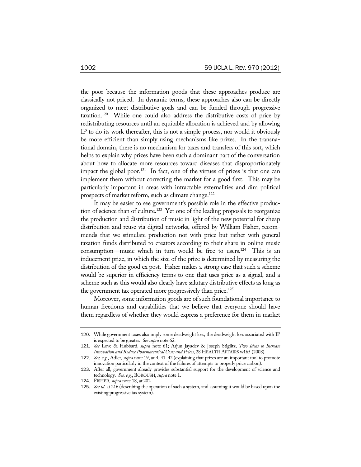the poor because the information goods that these approaches produce are classically not priced. In dynamic terms, these approaches also can be directly organized to meet distributive goals and can be funded through progressive taxation.120 While one could also address the distributive costs of price by redistributing resources until an equitable allocation is achieved and by allowing IP to do its work thereafter, this is not a simple process, nor would it obviously be more efficient than simply using mechanisms like prizes. In the transnational domain, there is no mechanism for taxes and transfers of this sort, which helps to explain why prizes have been such a dominant part of the conversation about how to allocate more resources toward diseases that disproportionately impact the global poor.<sup>121</sup> In fact, one of the virtues of prizes is that one can implement them without correcting the market for a good first. This may be particularly important in areas with intractable externalities and dim political prospects of market reform, such as climate change.<sup>122</sup>

It may be easier to see government's possible role in the effective production of science than of culture.<sup>123</sup> Yet one of the leading proposals to reorganize the production and distribution of music in light of the new potential for cheap distribution and reuse via digital networks, offered by William Fisher, recommends that we stimulate production not with price but rather with general taxation funds distributed to creators according to their share in online music consumption—music which in turn would be free to users.<sup>124</sup> This is an inducement prize, in which the size of the prize is determined by measuring the distribution of the good ex post. Fisher makes a strong case that such a scheme would be superior in efficiency terms to one that uses price as a signal, and a scheme such as this would also clearly have salutary distributive effects as long as the government tax operated more progressively than price.<sup>125</sup>

Moreover, some information goods are of such foundational importance to human freedoms and capabilities that we believe that everyone should have them regardless of whether they would express a preference for them in market

<sup>120</sup>. While government taxes also imply some deadweight loss, the deadweight loss associated with IP is expected to be greater. *See supra* note 62.

<sup>121</sup>. *See* Love & Hubbard, *supra* note 61; Arjun Jayadev & Joseph Stiglitz, *Two Ideas to Increase Innovation and Reduce Pharmaceutical Costs and Prices*, 28 HEALTH AFFAIRS w165 (2008).

<sup>122</sup>. *See, e.g.*, Adler, *supra* note 19, at 4, 41–42 (explaining that prizes are an important tool to promote innovation particularly in the context of the failures of attempts to properly price carbon).

<sup>123</sup>. After all, government already provides substantial support for the development of science and technology. *See, e.g.*, BOROUSH, *supra* note 1.

<sup>124</sup>. FISHER, *supra* note 18, at 202.

<sup>125</sup>. *See id*. at 216 (describing the operation of such a system, and assuming it would be based upon the existing progressive tax system).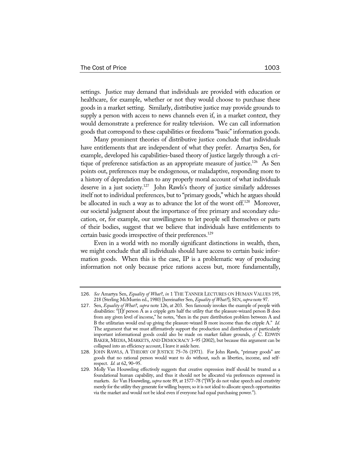settings. Justice may demand that individuals are provided with education or healthcare, for example, whether or not they would choose to purchase these goods in a market setting. Similarly, distributive justice may provide grounds to supply a person with access to news channels even if, in a market context, they would demonstrate a preference for reality television. We can call information goods that correspond to these capabilities or freedoms "basic" information goods.

Many prominent theories of distributive justice conclude that individuals have entitlements that are independent of what they prefer. Amartya Sen, for example, developed his capabilities-based theory of justice largely through a critique of preference satisfaction as an appropriate measure of justice.<sup>126</sup> As Sen points out, preferences may be endogenous, or maladaptive, responding more to a history of depredation than to any properly moral account of what individuals deserve in a just society.127 John Rawls's theory of justice similarly addresses itself not to individual preferences, but to "primary goods," which he argues should be allocated in such a way as to advance the lot of the worst off.<sup>128</sup> Moreover, our societal judgment about the importance of free primary and secondary education, or, for example, our unwillingness to let people sell themselves or parts of their bodies, suggest that we believe that individuals have entitlements to certain basic goods irrespective of their preferences.<sup>129</sup>

Even in a world with no morally significant distinctions in wealth, then, we might conclude that all individuals should have access to certain basic information goods. When this is the case, IP is a problematic way of producing information not only because price rations access but, more fundamentally,

<sup>126</sup>. *See* Amartya Sen, *Equality of What?*, *in* 1 THE TANNER LECTURES ON HUMAN VALUES 195, 218 (Sterling McMurrin ed., 1980) [hereinafter Sen, *Equality of What?*]; SEN, *supra* note 97.

<sup>127</sup>. Sen, *Equality of What?*, *supra* note 126, at 203. Sen famously invokes the example of people with disabilities: "[I]f person A as a cripple gets half the utility that the pleasure-wizard person B does from any given level of income," he notes, "then in the pure distribution problem between A and B the utilitarian would end up giving the pleasure-wizard B more income than the cripple A." *Id.* The argument that we must affirmatively support the production and distribution of particularly important informational goods could also be made on market failure grounds, *cf.* C. EDWIN BAKER, MEDIA, MARKETS, AND DEMOCRACY 3–95 (2002), but because this argument can be collapsed into an efficiency account, I leave it aside here.

<sup>128</sup>. JOHN RAWLS, A THEORY OF JUSTICE 75–76 (1971). For John Rawls, "primary goods" are goods that no rational person would want to do without, such as liberties, income, and selfrespect. *Id.* at 62, 90–95.

<sup>129</sup>. Molly Van Houweling effectively suggests that creative expression itself should be treated as a foundational human capability, and thus it should not be allocated via preferences expressed in markets. *See* Van Houweling, *supra* note 89, at 1577–78 ("[W]e do not value speech and creativity merely for the utility they generate for willing buyers; so it is not ideal to allocate speech opportunities via the market and would not be ideal even if everyone had equal purchasing power.").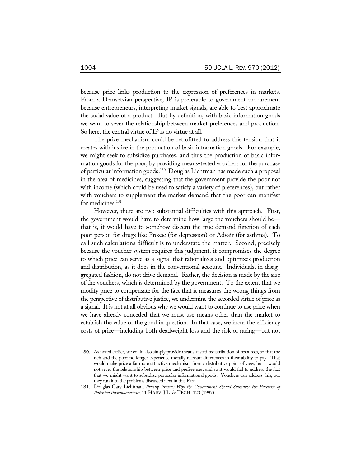because price links production to the expression of preferences in markets. From a Demsetzian perspective, IP is preferable to government procurement because entrepreneurs, interpreting market signals, are able to best approximate the social value of a product. But by definition, with basic information goods we want to sever the relationship between market preferences and production. So here, the central virtue of IP is no virtue at all.

The price mechanism could be retrofitted to address this tension that it creates with justice in the production of basic information goods. For example, we might seek to subsidize purchases, and thus the production of basic information goods for the poor, by providing means-tested vouchers for the purchase of particular information goods.130 Douglas Lichtman has made such a proposal in the area of medicines, suggesting that the government provide the poor not with income (which could be used to satisfy a variety of preferences), but rather with vouchers to supplement the market demand that the poor can manifest for medicines.<sup>131</sup>

However, there are two substantial difficulties with this approach. First, the government would have to determine how large the vouchers should be that is, it would have to somehow discern the true demand function of each poor person for drugs like Prozac (for depression) or Advair (for asthma). To call such calculations difficult is to understate the matter. Second, precisely because the voucher system requires this judgment, it compromises the degree to which price can serve as a signal that rationalizes and optimizes production and distribution, as it does in the conventional account. Individuals, in disaggregated fashion, do not drive demand. Rather, the decision is made by the size of the vouchers, which is determined by the government. To the extent that we modify price to compensate for the fact that it measures the wrong things from the perspective of distributive justice, we undermine the accorded virtue of price as a signal. It is not at all obvious why we would want to continue to use price when we have already conceded that we must use means other than the market to establish the value of the good in question. In that case, we incur the efficiency costs of price—including both deadweight loss and the risk of racing—but not

<sup>130</sup>. As noted earlier, we could also simply provide means-tested redistribution of resources, so that the rich and the poor no longer experience morally relevant differences in their ability to pay. That would make price a far more attractive mechanism from a distributive point of view, but it would not sever the relationship between price and preferences, and so it would fail to address the fact that we might want to subsidize particular informational goods. Vouchers can address this, but they run into the problems discussed next in this Part.

<sup>131</sup>. Douglas Gary Lichtman, *Pricing Prozac: Why the Government Should Subsidize the Purchase of Patented Pharmaceuticals*, 11 HARV. J.L. & TECH. 123 (1997).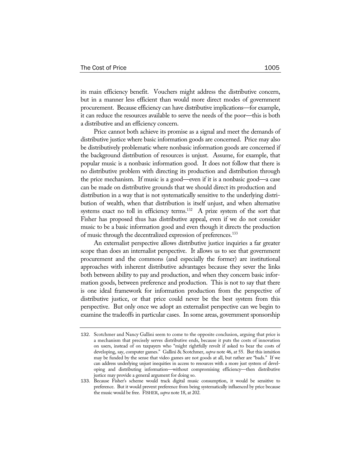its main efficiency benefit. Vouchers might address the distributive concern, but in a manner less efficient than would more direct modes of government procurement. Because efficiency can have distributive implications—for example, it can reduce the resources available to serve the needs of the poor—this is both a distributive and an efficiency concern.

Price cannot both achieve its promise as a signal and meet the demands of distributive justice where basic information goods are concerned. Price may also be distributively problematic where nonbasic information goods are concerned if the background distribution of resources is unjust. Assume, for example, that popular music is a nonbasic information good. It does not follow that there is no distributive problem with directing its production and distribution through the price mechanism. If music is a good—even if it is a nonbasic good—a case can be made on distributive grounds that we should direct its production and distribution in a way that is not systematically sensitive to the underlying distribution of wealth, when that distribution is itself unjust, and when alternative systems exact no toll in efficiency terms.<sup>132</sup> A prize system of the sort that Fisher has proposed thus has distributive appeal, even if we do not consider music to be a basic information good and even though it directs the production of music through the decentralized expression of preferences.133

An externalist perspective allows distributive justice inquiries a far greater scope than does an internalist perspective. It allows us to see that government procurement and the commons (and especially the former) are institutional approaches with inherent distributive advantages because they sever the links both between ability to pay and production, and when they concern basic information goods, between preference and production. This is not to say that there is one ideal framework for information production from the perspective of distributive justice, or that price could never be the best system from this perspective. But only once we adopt an externalist perspective can we begin to examine the tradeoffs in particular cases. In some areas, government sponsorship

<sup>132</sup>. Scotchmer and Nancy Gallini seem to come to the opposite conclusion, arguing that price is a mechanism that precisely serves distributive ends, because it puts the costs of innovation on users, instead of on taxpayers who "might rightfully revolt if asked to bear the costs of developing, say, computer games." Gallini & Scotchmer, *supra* note 46, at 55. But this intuition may be funded by the sense that video games are not goods at all, but rather are "bads." If we can address underlying unjust inequities in access to resources with a more just system of developing and distributing information—without compromising efficiency—then distributive justice may provide a general argument for doing so.

<sup>133</sup>. Because Fisher's scheme would track digital music consumption, it would be sensitive to preference. But it would prevent preference from being systematically influenced by price because the music would be free. FISHER, *supra* note 18, at 202.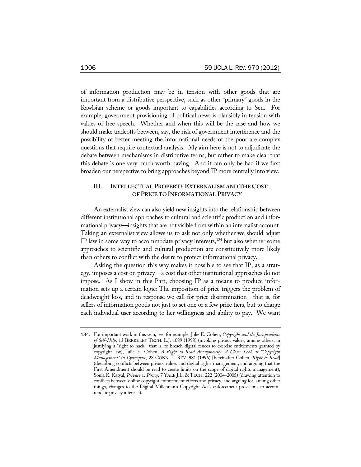of information production may be in tension with other goods that are important from a distributive perspective, such as other "primary" goods in the Rawlsian scheme or goods important to capabilities according to Sen. For example, government provisioning of political news is plausibly in tension with values of free speech. Whether and when this will be the case and how we should make tradeoffs between, say, the risk of government interference and the possibility of better meeting the informational needs of the poor are complex questions that require contextual analysis. My aim here is not to adjudicate the debate between mechanisms in distributive terms, but rather to make clear that this debate is one very much worth having. And it can only be had if we first broaden our perspective to bring approaches beyond IP more centrally into view.

## **III. INTELLECTUAL PROPERTY EXTERNALISM AND THE COST OF PRICE TO INFORMATIONAL PRIVACY**

An externalist view can also yield new insights into the relationship between different institutional approaches to cultural and scientific production and informational privacy—insights that are not visible from within an internalist account. Taking an externalist view allows us to ask not only whether we should adjust IP law in some way to accommodate privacy interests, $134$  but also whether some approaches to scientific and cultural production are constitutively more likely than others to conflict with the desire to protect informational privacy.

Asking the question this way makes it possible to see that IP, as a strategy, imposes a cost on privacy—a cost that other institutional approaches do not impose. As I show in this Part, choosing IP as a means to produce information sets up a certain logic: The imposition of price triggers the problem of deadweight loss, and in response we call for price discrimination—that is, for sellers of information goods not just to set one or a few price tiers, but to charge each individual user according to her willingness and ability to pay. We want

<sup>134</sup>. For important work in this vein, see, for example, Julie E. Cohen, *Copyright and the Jurisprudence of Self-Help*, 13 BERKELEY TECH. L.J. 1089 (1998) (invoking privacy values, among others, in justifying a "right to hack," that is, to breach digital fences to exercise entitlements granted by copyright law); Julie E. Cohen, *A Right to Read Anonymously: A Closer Look at "Copyright Management" in Cyberspace*, 28 CONN. L. REV. 981 (1996) [hereinafter Cohen, *Right to Read*] (describing conflicts between privacy values and digital rights management, and arguing that the First Amendment should be read to create limits on the scope of digital rights management); Sonia K. Katyal, *Privacy v. Piracy*, 7 YALE J.L. & TECH. 222 (2004–2005) (drawing attention to conflicts between online copyright enforcement efforts and privacy, and arguing for, among other things, changes to the Digital Millennium Copyright Act's enforcement provisions to accommodate privacy interests).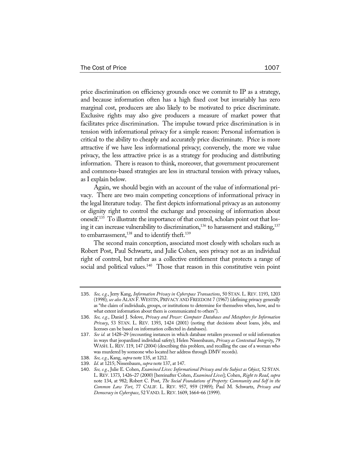price discrimination on efficiency grounds once we commit to IP as a strategy, and because information often has a high fixed cost but invariably has zero marginal cost, producers are also likely to be motivated to price discriminate. Exclusive rights may also give producers a measure of market power that facilitates price discrimination. The impulse toward price discrimination is in tension with informational privacy for a simple reason: Personal information is critical to the ability to cheaply and accurately price discriminate. Price is more attractive if we have less informational privacy; conversely, the more we value privacy, the less attractive price is as a strategy for producing and distributing information. There is reason to think, moreover, that government procurement and commons-based strategies are less in structural tension with privacy values, as I explain below.

Again, we should begin with an account of the value of informational privacy. There are two main competing conceptions of informational privacy in the legal literature today. The first depicts informational privacy as an autonomy or dignity right to control the exchange and processing of information about oneself.135 To illustrate the importance of that control, scholars point out that losing it can increase vulnerability to discrimination,<sup>136</sup> to harassment and stalking, $137$ to embarrassment, $^{138}$  and to identify theft. $^{139}$ 

The second main conception, associated most closely with scholars such as Robert Post, Paul Schwartz, and Julie Cohen, sees privacy not as an individual right of control, but rather as a collective entitlement that protects a range of social and political values.<sup>140</sup> Those that reason in this constitutive vein point

<sup>135</sup>. *See, e.g.*, Jerry Kang, *Information Privacy in Cyberspace Transactions*, 50 STAN. L. REV. 1193, 1203 (1998); *see also* ALAN F. WESTIN, PRIVACY AND FREEDOM 7 (1967) (defining privacy generally as "the claim of individuals, groups, or institutions to determine for themselves when, how, and to what extent information about them is communicated to others").

<sup>136</sup>. *See, e.g.*, Daniel J. Solove, *Privacy and Power: Computer Databases and Metaphors for Information Privacy*, 53 STAN. L. REV. 1393, 1424 (2001) (noting that decisions about loans, jobs, and licenses can be based on information collected in databases).

<sup>137</sup>. *See id.* at 1428–29 (recounting instances in which database retailers processed or sold information in ways that jeopardized individual safety); Helen Nissenbaum, *Privacy as Contextual Integrity*, 79 WASH. L. REV. 119, 147 (2004) (describing this problem, and recalling the case of a woman who was murdered by someone who located her address through DMV records).

<sup>138</sup>. *See, e.g.*, Kang, *supra* note 135, at 1212.

<sup>139</sup>. *Id*. at 1215; Nissenbaum, *supra* note 137, at 147.

<sup>140</sup>. *See, e.g.*, Julie E. Cohen, *Examined Lives: Informational Privacy and the Subject as Object*, 52 STAN. L. REV. 1373, 1426–27 (2000) [hereinafter Cohen, *Examined Lives*]; Cohen, *Right to Read*, *supra*  note 134, at 982; Robert C. Post, *The Social Foundations of Property: Community and Self in the Common Law Tort*, 77 CALIF. L. REV. 957, 959 (1989); Paul M. Schwartz, *Privacy and Democracy in Cyberspace*, 52 VAND.L.REV. 1609, 1664–66 (1999).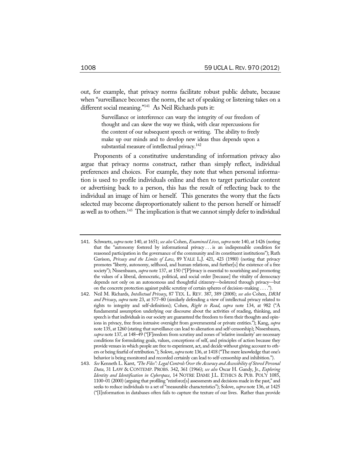out, for example, that privacy norms facilitate robust public debate, because when "surveillance becomes the norm, the act of speaking or listening takes on a different social meaning."141 As Neil Richards puts it:

> Surveillance or interference can warp the integrity of our freedom of thought and can skew the way we think, with clear repercussions for the content of our subsequent speech or writing. The ability to freely make up our minds and to develop new ideas thus depends upon a substantial measure of intellectual privacy.<sup>142</sup>

Proponents of a constitutive understanding of information privacy also argue that privacy norms construct, rather than simply reflect, individual preferences and choices. For example, they note that when personal information is used to profile individuals online and then to target particular content or advertising back to a person, this has the result of reflecting back to the individual an image of him or herself. This generates the worry that the facts selected may become disproportionately salient to the person herself or himself as well as to others.<sup>143</sup> The implication is that we cannot simply defer to individual

<sup>141</sup>. Schwartz, *supra* note 140, at 1651; *see also* Cohen, *Examined Lives*, *supra* note 140, at 1426 (noting that the "autonomy fostered by informational privacy . . . is an indispensable condition for reasoned participation in the governance of the community and its constituent institutions"); Ruth Gavison, *Privacy and the Limits of Law*, 89 YALE L.J. 421, 423 (1980) (noting that privacy promotes "liberty, autonomy, selfhood, and human relations, and further[s] the existence of a free society"); Nissenbaum, *supra* note 137, at 150 ("[P]rivacy is essential to nourishing and promoting the values of a liberal, democratic, political, and social order [because] the vitality of democracy depends not only on an autonomous and thoughtful citizenry—bolstered through privacy—but on the concrete protection against public scrutiny of certain spheres of decision-making . . . .").

<sup>142</sup>. Neil M. Richards, *Intellectual Privacy*, 87 TEX. L. REV. 387, 389 (2008); *see also* Cohen, *DRM and Privacy*, *supra* note 23, at 577–80 (similarly defending a view of intellectual privacy related to rights to integrity and self-definition); Cohen, *Right to Read*, *supra* note 134, at 982 ("A fundamental assumption underlying our discourse about the activities of reading, thinking, and speech is that individuals in our society are guaranteed the freedom to form their thoughts and opinions in privacy, free from intrusive oversight from governmental or private entities."); Kang, *supra*  note 135, at 1260 (stating that surveillance can lead to alienation and self-censorship); Nissenbaum, *supra* note 137, at 148–49 ("[F]reedom from scrutiny and zones of 'relative insularity' are necessary conditions for formulating goals, values, conceptions of self, and principles of action because they provide venues in which people are free to experiment, act, and decide without giving account to others or being fearful of retribution."); Solove, *supra* note 136, at 1418 ("The mere knowledge that one's behavior is being monitored and recorded certainly can lead to self-censorship and inhibition.").

<sup>143</sup>. *See* Kenneth L. Karst, *"The Files": Legal Controls Over the Accuracy and Accessibility of Stored Personal Data*, 31 LAW & CONTEMP. PROBS. 342, 361 (1966); *see also* Oscar H. Gandy, Jr., *Exploring Identity and Identification in Cyberspace*, 14 NOTRE DAME J.L. ETHICS & PUB. POL'Y 1085, 1100–01 (2000) (arguing that profiling "reinforce[s] assessments and decisions made in the past," and seeks to reduce individuals to a set of "measurable characteristics"); Solove, *supra* note 136, at 1425 ("[I]nformation in databases often fails to capture the texture of our lives. Rather than provide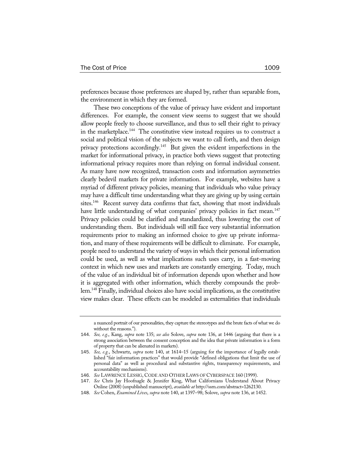preferences because those preferences are shaped by, rather than separable from, the environment in which they are formed.

These two conceptions of the value of privacy have evident and important differences. For example, the consent view seems to suggest that we should allow people freely to choose surveillance, and thus to sell their right to privacy in the marketplace.<sup>144</sup> The constitutive view instead requires us to construct a social and political vision of the subjects we want to call forth, and then design privacy protections accordingly.145 But given the evident imperfections in the market for informational privacy, in practice both views suggest that protecting informational privacy requires more than relying on formal individual consent. As many have now recognized, transaction costs and information asymmetries clearly bedevil markets for private information. For example, websites have a myriad of different privacy policies, meaning that individuals who value privacy may have a difficult time understanding what they are giving up by using certain sites.<sup>146</sup> Recent survey data confirms that fact, showing that most individuals have little understanding of what companies' privacy policies in fact mean.<sup>147</sup> Privacy policies could be clarified and standardized, thus lowering the cost of understanding them. But individuals will still face very substantial information requirements prior to making an informed choice to give up private information, and many of these requirements will be difficult to eliminate. For example, people need to understand the variety of ways in which their personal information could be used, as well as what implications such uses carry, in a fast-moving context in which new uses and markets are constantly emerging. Today, much of the value of an individual bit of information depends upon whether and how it is aggregated with other information, which thereby compounds the problem.148 Finally, individual choices also have social implications, as the constitutive view makes clear. These effects can be modeled as externalities that individuals

a nuanced portrait of our personalities, they capture the stereotypes and the brute facts of what we do without the reasons.").

<sup>144</sup>. *See, e.g.*, Kang, *supra* note 135; *see also* Solove, *supra* note 136, at 1446 (arguing that there is a strong association between the consent conception and the idea that private information is a form of property that can be alienated in markets).

<sup>145</sup>. *See, e.g.*, Schwartz, *supra* note 140, at 1614–15 (arguing for the importance of legally established "fair information practices" that would provide "defined obligations that limit the use of personal data" as well as procedural and substantive rights, transparency requirements, and accountability mechanisms).

<sup>146</sup>. *See* LAWRENCE LESSIG, CODE AND OTHER LAWS OF CYBERSPACE 160 (1999).

<sup>147</sup>. *See* Chris Jay Hoofnagle & Jennifer King, What Californians Understand About Privacy Online (2008) (unpublished manuscript), *available at* http://ssrn.com/abstract=1262130.

<sup>148</sup>. *See* Cohen, *Examined Lives*, *supra* note 140, at 1397–98; Solove, *supra* note 136, at 1452.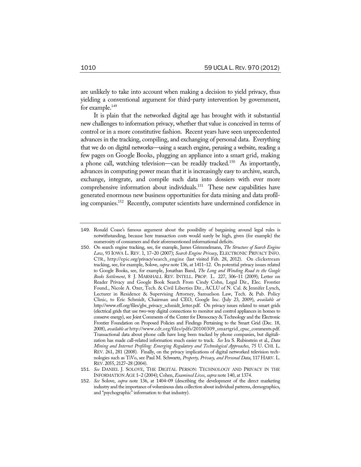are unlikely to take into account when making a decision to yield privacy, thus yielding a conventional argument for third-party intervention by government, for example.<sup>149</sup>

It is plain that the networked digital age has brought with it substantial new challenges to information privacy, whether that value is conceived in terms of control or in a more constitutive fashion. Recent years have seen unprecedented advances in the tracking, compiling, and exchanging of personal data. Everything that we do on digital networks—using a search engine, perusing a website, reading a few pages on Google Books, plugging an appliance into a smart grid, making a phone call, watching television—can be readily tracked.<sup>150</sup> As importantly, advances in computing power mean that it is increasingly easy to archive, search, exchange, integrate, and compile such data into dossiers with ever more comprehensive information about individuals.<sup>151</sup> These new capabilities have generated enormous new business opportunities for data mining and data profiling companies.152 Recently, computer scientists have undermined confidence in

<sup>149</sup>. Ronald Coase's famous argument about the possibility of bargaining around legal rules is notwithstanding, because here transaction costs would surely be high, given (for example) the numerosity of consumers and their aforementioned informational deficits.

<sup>150</sup>. On search engine tracking, see, for example, James Grimmelmann, *The Structure of Search Engine Law*, 93 IOWA L. REV. 1, 17–20 (2007); *Search Engine Privacy*, ELECTRONIC PRIVACY INFO. CTR., http://epic.org/privacy/search\_engine (last visited Feb. 28, 2012). On clickstream tracking, see, for example, Solove, *supra* note 136, at 1411–12. On potential privacy issues related to Google Books, see, for example, Jonathan Band, *The Long and Winding Road to the Google Books Settlement*, 8 J. MARSHALL REV. INTELL. PROP. L. 227, 306–11 (2009); Letter on Reader Privacy and Google Book Search From Cindy Cohn, Legal Dir., Elec. Frontier Found., Nicole A. Ozer, Tech. & Civil Liberties Dir., ACLU of N. Cal. & Jennifer Lynch, Lecturer in Residence & Supervising Attorney, Samuelson Law, Tech. & Pub. Policy Clinic, to Eric Schmidt, Chairman and CEO, Google Inc. (July 23, 2009), *available at* http://www.eff.org/files/gbs\_privacy\_schmidt\_letter.pdf. On privacy issues related to smart grids (electrical grids that use two-way digital connections to monitor and control appliances in homes to conserve energy), see Joint Comments of the Center for Democracy & Technology and the Electronic Frontier Foundation on Proposed Policies and Findings Pertaining to the Smart Grid (Dec. 18, 2008), *available at* http://www.cdt.org/files/pdfs/20100309\_smartgrid\_cpuc\_comments.pdf. Transactional data about phone calls have long been tracked by phone companies, but digitalization has made call-related information much easier to track. *See* Ira S. Rubinstein et al., *Data Mining and Internet Profiling: Emerging Regulatory and Technological Approaches*, 75 U. CHI. L. REV. 261, 281 (2008). Finally, on the privacy implications of digital networked television technologies such as TiVo, see Paul M. Schwartz, *Property, Privacy, and Personal Data*, 117 HARV. L. REV. 2055, 2127–28 (2004).

<sup>151</sup>. *See* DANIEL J. SOLOVE, THE DIGITAL PERSON: TECHNOLOGY AND PRIVACY IN THE INFORMATION AGE 1–2 (2004); Cohen, *Examined Lives*, *supra* note 140, at 1374.

<sup>152</sup>. *See* Solove, *supra* note 136, at 1404–09 (describing the development of the direct marketing industry and the importance of voluminous data collection about individual patterns, demographics, and "psychographic" information to that industry).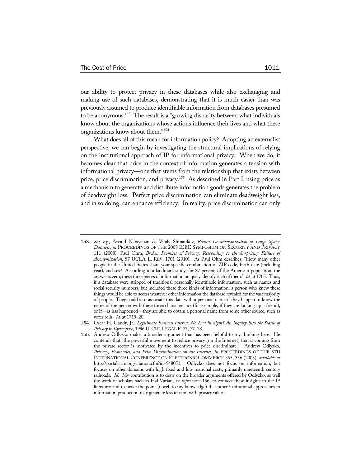our ability to protect privacy in these databases while also exchanging and making use of such databases, demonstrating that it is much easier than was previously assumed to produce identifiable information from databases presumed to be anonymous.153 The result is a "growing disparity between what individuals know about the organizations whose actions influence their lives and what these organizations know about them."154

What does all of this mean for information policy? Adopting an externalist perspective, we can begin by investigating the structural implications of relying on the institutional approach of IP for informational privacy. When we do, it becomes clear that price in the context of information generates a tension with informational privacy—one that stems from the relationship that exists between price, price discrimination, and privacy.<sup>155</sup> As described in Part I, using price as a mechanism to generate and distribute information goods generates the problem of deadweight loss. Perfect price discrimination can eliminate deadweight loss, and in so doing, can enhance efficiency. In reality, price discrimination can only

<sup>153</sup>. *See, e.g.*, Arvind Narayanan & Vitaly Shmatikov, *Robust De-anonymization of Large Sparse Datasets*, *in* PROCEEDINGS OF THE 2008 IEEE SYMPOSIUM ON SECURITY AND PRIVACY 111 (2008); Paul Ohm, *Broken Promises of Privacy: Responding to the Surprising Failure of Anonymization*, 57 UCLA L. REV. 1701 (2010). As Paul Ohm describes, "How many other people in the United States share your specific combination of ZIP code, birth date (including year), and sex? According to a landmark study, for 87 percent of the American population, the answer is zero; these three pieces of information uniquely identify each of them." *Id.* at 1705. Thus, if a database were stripped of traditional personally identifiable information, such as names and social security numbers, but included these three kinds of information, a person who knew these things would be able to access whatever other information the database revealed for the vast majority of people. They could also associate this data with a personal name if they happen to know the name of the person with these three characteristics (for example, if they are looking up a friend), or if—as has happened—they are able to obtain a personal name from some other source, such as voter rolls. *Id.* at 1719–20.

<sup>154</sup>. Oscar H. Gandy, Jr., *Legitimate Business Interest: No End in Sight? An Inquiry Into the Status of Privacy in Cyberspace*, 1996 U. CHI.LEGAL F. 77, 77–78.

<sup>155</sup>. Andrew Odlyzko makes a broader argument that has been helpful to my thinking here. He contends that "the powerful movement to reduce privacy [on the Internet] that is coming from the private sector is motivated by the incentives to price discriminate." Andrew Odlyzko, *Privacy, Economics, and Price Discrimination on the Internet*, *in* PROCEEDINGS OF THE 5TH INTERNATIONAL CONFERENCE ON ELECTRONIC COMMERCE 355, 356 (2003), *available at* http://portal.acm.org/citation.cfm?id=948051. Odlyzko does not focus on information, but focuses on other domains with high fixed and low marginal costs, primarily nineteenth century railroads. *Id.* My contribution is to draw on the broader arguments offered by Odlyzko, as well the work of scholars such as Hal Varian, *see infra* note 156, to connect these insights to the IP literature and to make the point (novel, to my knowledge) that other institutional approaches to information production may generate less tension with privacy values.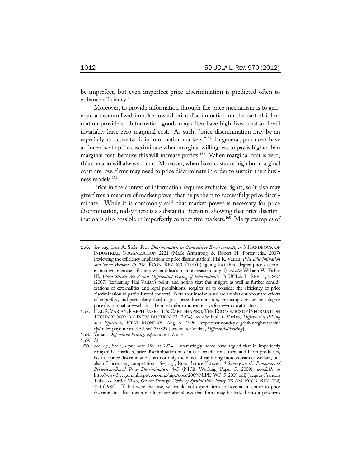be imperfect, but even imperfect price discrimination is predicted often to enhance efficiency.156

Moreover, to provide information through the price mechanism is to generate a decentralized impulse toward price discrimination on the part of information providers. Information goods may often have high fixed cost and will invariably have zero marginal cost. As such, "price discrimination may be an especially attractive tactic in information markets."<sup>157</sup> In general, producers have an incentive to price discriminate when marginal willingness to pay is higher than marginal cost, because this will increase profits.<sup>158</sup> When marginal cost is zero, this scenario will always occur. Moreover, when fixed costs are high but marginal costs are low, firms may need to price discriminate in order to sustain their business models.159

Price in the context of information requires exclusive rights, so it also may give firms a measure of market power that helps them to successfully price discriminate. While it is commonly said that market power is necessary for price discrimination, today there is a substantial literature showing that price discrimination is also possible in imperfectly competitive markets.160 Many examples of

- 158. Varian, *Differential Pricing*, *supra* note 157, at 4.
- 159. *Id.*

<sup>156</sup>. *See, e.g.*, Lars A. Stole, *Price Discrimination in Competitive Environments*, *in* 3 HANDBOOK OF INDUSTRIAL ORGANIZATION 2221 (Mark Armstrong & Robert H. Porter eds., 2007) (reviewing the efficiency implications of price discrimination); Hal R. Varian, *Price Discrimination and Social Welfare*, 75 AM. ECON. REV. 870 (1985) (arguing that third-degree price discrimination will increase efficiency when it leads to an increase in output); *see also* William W. Fisher III, *When Should We Permit Differential Pricing of Information?*, 55 UCLA L. REV. 1, 22–27 (2007) (explaining Hal Varian's point, and noting that this insight, as well as further considerations of externalities and legal prohibitions, requires us to consider the efficiency of price discrimination in particularized context). Note that insofar as we are ambivalent about the effects of imperfect, and particularly third-degree, price discrimination, this simply makes first-degree price discrimination—which is the most information-intensive form—more attractive.

<sup>157</sup>. HAL R. VARIAN,JOSEPH FARRELL & CARL SHAPIRO, THE ECONOMICS OF INFORMATION TECHNOLOGY: AN INTRODUCTION 73 (2004); *see also* Hal R. Varian, *Differential Pricing and Efficiency*, FIRST MONDAY, Aug. 9, 1996, http://firstmonday.org/htbin/cgiwrap/bin/ ojs/index.php/fm/article/view/473/829 [hereinafter Varian, *Differential Pricing*].

<sup>160</sup>. *See, e.g.*, Stole, *supra* note 156, at 2224. Interestingly, some have argued that in imperfectly competitive markets, price discrimination may in fact benefit consumers and harm producers, because price discrimination has not only the effect of capturing more consumer welfare, but also of increasing competition. *See, e.g.*, Rosa Brance Esteves, *A Survey on the Economics of Behaviour-Based Price Discrimination* 4–5 (NIPE Working Paper 5, 2009), *available at* http://www3.eeg.uminho.pt/economia/nipe/docs/2009/NIPE\_WP\_5\_2009.pdf; Jacques-François Thisse & Xavier Vives, *On the Strategic Choice of Spatial Price Policy*, 78 AM. ECON. REV. 122, 124 (1988). If that were the case, we would not expect firms to have an incentive to price discriminate. But this same literature also shows that firms may be locked into a prisoner's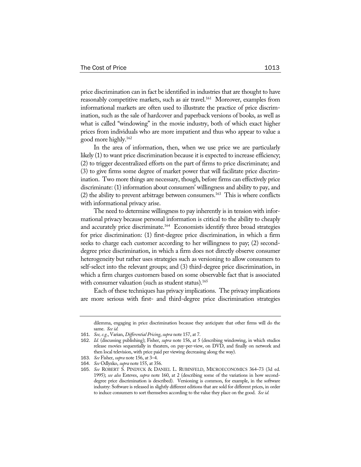price discrimination can in fact be identified in industries that are thought to have reasonably competitive markets, such as air travel.<sup>161</sup> Moreover, examples from informational markets are often used to illustrate the practice of price discrimination, such as the sale of hardcover and paperback versions of books, as well as what is called "windowing" in the movie industry, both of which exact higher prices from individuals who are more impatient and thus who appear to value a good more highly.162

In the area of information, then, when we use price we are particularly likely (1) to want price discrimination because it is expected to increase efficiency; (2) to trigger decentralized efforts on the part of firms to price discriminate; and (3) to give firms some degree of market power that will facilitate price discrimination. Two more things are necessary, though, before firms can effectively price discriminate: (1) information about consumers' willingness and ability to pay, and (2) the ability to prevent arbitrage between consumers.163 This is where conflicts with informational privacy arise.

The need to determine willingness to pay inherently is in tension with informational privacy because personal information is critical to the ability to cheaply and accurately price discriminate.<sup>164</sup> Economists identify three broad strategies for price discrimination: (1) first-degree price discrimination, in which a firm seeks to charge each customer according to her willingness to pay; (2) seconddegree price discrimination, in which a firm does not directly observe consumer heterogeneity but rather uses strategies such as versioning to allow consumers to self-select into the relevant groups; and (3) third-degree price discrimination, in which a firm charges customers based on some observable fact that is associated with consumer valuation (such as student status).<sup>165</sup>

Each of these techniques has privacy implications. The privacy implications are more serious with first- and third-degree price discrimination strategies

dilemma, engaging in price discrimination because they anticipate that other firms will do the same. *See id.*

<sup>161</sup>. *See, e.g.*, Varian, *Differential Pricing*, *supra* note 157, at 7.

<sup>162</sup>. *Id.* (discussing publishing); Fisher, *supra* note 156, at 5 (describing windowing, in which studios release movies sequentially in theaters, on pay-per-view, on DVD, and finally on network and then local television, with price paid per viewing decreasing along the way).

<sup>163</sup>. *See* Fisher, *supra* note 156, at 3–4.

<sup>164</sup>. *See* Odlyzko, *supra* note 155, at 356.

<sup>165</sup>. *See* ROBERT S. PINDYCK & DANIEL L. RUBINFELD, MICROECONOMICS 364–73 (3d ed. 1995); *see also* Esteves, *supra* note 160, at 2 (describing some of the variations in how seconddegree price discrimination is described). Versioning is common, for example, in the software industry: Software is released in slightly different editions that are sold for different prices, in order to induce consumers to sort themselves according to the value they place on the good. *See id.*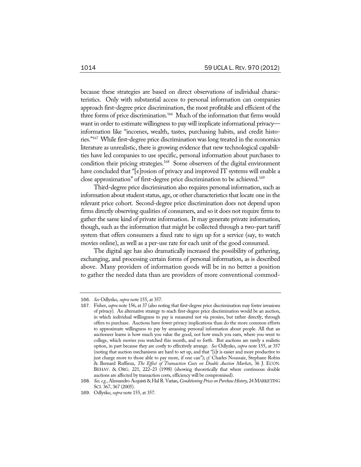because these strategies are based on direct observations of individual characteristics. Only with substantial access to personal information can companies approach first-degree price discrimination, the most profitable and efficient of the three forms of price discrimination.166 Much of the information that firms would want in order to estimate willingness to pay will implicate informational privacy information like "incomes, wealth, tastes, purchasing habits, and credit histories."167 While first-degree price discrimination was long treated in the economics literature as unrealistic, there is growing evidence that new technological capabilities have led companies to use specific, personal information about purchases to condition their pricing strategies.<sup>168</sup> Some observers of the digital environment have concluded that "[e]rosion of privacy and improved IT systems will enable a close approximation" of first-degree price discrimination to be achieved.169

Third-degree price discrimination also requires personal information, such as information about student status, age, or other characteristics that locate one in the relevant price cohort. Second-degree price discrimination does not depend upon firms directly observing qualities of consumers, and so it does not require firms to gather the same kind of private information. It may generate private information, though, such as the information that might be collected through a two-part tariff system that offers consumers a fixed rate to sign up for a service (say, to watch movies online), as well as a per-use rate for each unit of the good consumed.

The digital age has also dramatically increased the possibility of gathering, exchanging, and processing certain forms of personal information, as is described above. Many providers of information goods will be in no better a position to gather the needed data than are providers of more conventional commod-

<sup>166</sup>. *See* Odlyzko, *supra* note 155, at 357.

<sup>167</sup>. Fisher, *supra* note 156, at 37 (also noting that first-degree price discrimination may foster invasions of privacy). An alternative strategy to reach first-degree price discrimination would be an auction, in which individual willingness to pay is measured not via proxies, but rather directly, through offers to purchase. Auctions have fewer privacy implications than do the more common efforts to approximate willingness to pay by amassing personal information about people. All that an auctioneer learns is how much you value the good, not how much you earn, where you went to college, which movies you watched this month, and so forth. But auctions are rarely a realistic option, in part because they are costly to effectively arrange. *See* Odlyzko, *supra* note 155, at 357 (noting that auction mechanisms are hard to set up, and that "[i]t is easier and more productive to just charge more to those able to pay more, if one can"); *cf.* Charles Noussair, Stephane Robin & Bernard Ruffieux, *The Effect of Transaction Costs on Double Auction Markets*, 36 J. ECON. BEHAV. & ORG. 221, 222-23 (1998) (showing theoretically that where continuous double auctions are affected by transaction costs, efficiency will be compromised).

<sup>168</sup>. *See, e.g.*, Alessandro Acquisti & Hal R. Varian, *Conditioning Prices on Purchase History*, 24 MARKETING SCI. 367, 367 (2005).

<sup>169</sup>. Odlyzko, *supra* note 155, at 357.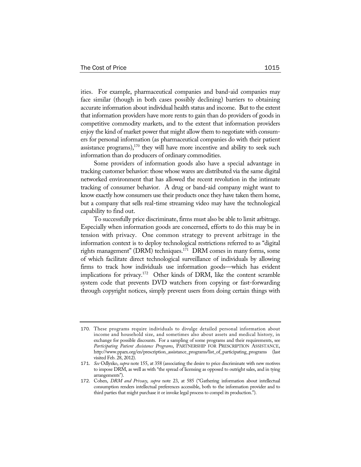ities. For example, pharmaceutical companies and band-aid companies may face similar (though in both cases possibly declining) barriers to obtaining accurate information about individual health status and income. But to the extent that information providers have more rents to gain than do providers of goods in competitive commodity markets, and to the extent that information providers enjoy the kind of market power that might allow them to negotiate with consumers for personal information (as pharmaceutical companies do with their patient assistance programs), $170$  they will have more incentive and ability to seek such information than do producers of ordinary commodities.

Some providers of information goods also have a special advantage in tracking customer behavior: those whose wares are distributed via the same digital networked environment that has allowed the recent revolution in the intimate tracking of consumer behavior. A drug or band-aid company might want to know exactly how consumers use their products once they have taken them home, but a company that sells real-time streaming video may have the technological capability to find out.

To successfully price discriminate, firms must also be able to limit arbitrage. Especially when information goods are concerned, efforts to do this may be in tension with privacy. One common strategy to prevent arbitrage in the information context is to deploy technological restrictions referred to as "digital rights management" (DRM) techniques.<sup>171</sup> DRM comes in many forms, some of which facilitate direct technological surveillance of individuals by allowing firms to track how individuals use information goods—which has evident implications for privacy.<sup>172</sup> Other kinds of DRM, like the content scramble system code that prevents DVD watchers from copying or fast-forwarding through copyright notices, simply prevent users from doing certain things with

<sup>170</sup>. These programs require individuals to divulge detailed personal information about income and household size, and sometimes also about assets and medical history, in exchange for possible discounts. For a sampling of some programs and their requirements, see *Participating Patient Assistance Programs*, PARTNERSHIP FOR PRESCRIPTION ASSISTANCE, http://www.pparx.org/en/prescription\_assistance\_programs/list\_of\_participating\_programs (last visited Feb. 28, 2012).

<sup>171</sup>. *See* Odlyzko, *supra* note 155, at 358 (associating the desire to price discriminate with new motives to impose DRM, as well as with "the spread of licensing as opposed to outright sales, and in tying arrangements").

<sup>172</sup>. Cohen, *DRM and Privacy*, *supra* note 23, at 585 ("Gathering information about intellectual consumption renders intellectual preferences accessible, both to the information provider and to third parties that might purchase it or invoke legal process to compel its production.").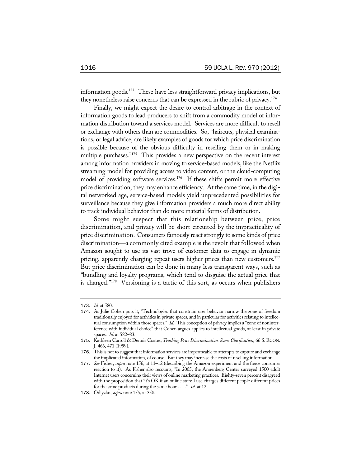information goods.<sup>173</sup> These have less straightforward privacy implications, but they nonetheless raise concerns that can be expressed in the rubric of privacy.174

Finally, we might expect the desire to control arbitrage in the context of information goods to lead producers to shift from a commodity model of information distribution toward a services model. Services are more difficult to resell or exchange with others than are commodities. So, "haircuts, physical examinations, or legal advice, are likely examples of goods for which price discrimination is possible because of the obvious difficulty in reselling them or in making multiple purchases."175 This provides a new perspective on the recent interest among information providers in moving to service-based models, like the Netflix streaming model for providing access to video content, or the cloud-computing model of providing software services.176 If these shifts permit more effective price discrimination, they may enhance efficiency. At the same time, in the digital networked age, service-based models yield unprecedented possibilities for surveillance because they give information providers a much more direct ability to track individual behavior than do more material forms of distribution.

Some might suspect that this relationship between price, price discrimination, and privacy will be short-circuited by the impracticality of price discrimination. Consumers famously react strongly to some kinds of price discrimination—a commonly cited example is the revolt that followed when Amazon sought to use its vast trove of customer data to engage in dynamic pricing, apparently charging repeat users higher prices than new customers.<sup>177</sup> But price discrimination can be done in many less transparent ways, such as "bundling and loyalty programs, which tend to disguise the actual price that is charged."178 Versioning is a tactic of this sort, as occurs when publishers

<sup>173</sup>. *Id.* at 580.

<sup>174</sup>. As Julie Cohen puts it, "Technologies that constrain user behavior narrow the zone of freedom traditionally enjoyed for activities in private spaces, and in particular for activities relating to intellectual consumption within those spaces." *Id.* This conception of privacy implies a "zone of noninterference with individual choice" that Cohen argues applies to intellectual goods, at least in private spaces. *Id.* at 582–83.

<sup>175</sup>. Kathleen Carroll & Dennis Coates, *Teaching Price Discrimination: Some Clarification*, 66 S.ECON. J. 466, 471 (1999).

<sup>176</sup>. This is not to suggest that information services are impermeable to attempts to capture and exchange the implicated information, of course. But they may increase the costs of reselling information.

<sup>177</sup>. *See* Fisher, *supra* note 156, at 11–12 (describing the Amazon experiment and the fierce consumer reaction to it). As Fisher also recounts, "In 2005, the Annenberg Center surveyed 1500 adult Internet users concerning their views of online marketing practices. Eighty-seven percent disagreed with the proposition that 'it's OK if an online store I use charges different people different prices for the same products during the same hour . . . .'" *Id.* at 12.

<sup>178</sup>. Odlyzko, *supra* note 155, at 358.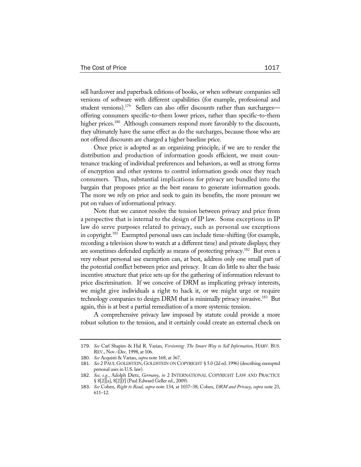sell hardcover and paperback editions of books, or when software companies sell versions of software with different capabilities (for example, professional and student versions).<sup>179</sup> Sellers can also offer discounts rather than surcharges offering consumers specific-to-them lower prices, rather than specific-to-them higher prices.<sup>180</sup> Although consumers respond more favorably to the discounts, they ultimately have the same effect as do the surcharges, because those who are not offered discounts are charged a higher baseline price.

Once price is adopted as an organizing principle, if we are to render the distribution and production of information goods efficient, we must countenance tracking of individual preferences and behaviors, as well as strong forms of encryption and other systems to control information goods once they reach consumers. Thus, substantial implications for privacy are bundled into the bargain that proposes price as the best means to generate information goods. The more we rely on price and seek to gain its benefits, the more pressure we put on values of informational privacy.

Note that we cannot resolve the tension between privacy and price from a perspective that is internal to the design of IP law. Some exceptions in IP law do serve purposes related to privacy, such as personal use exceptions in copyright.<sup>181</sup> Exempted personal uses can include time-shifting (for example, recording a television show to watch at a different time) and private displays; they are sometimes defended explicitly as means of protecting privacy.182 But even a very robust personal use exemption can, at best, address only one small part of the potential conflict between price and privacy. It can do little to alter the basic incentive structure that price sets up for the gathering of information relevant to price discrimination. If we conceive of DRM as implicating privacy interests, we might give individuals a right to hack it, or we might urge or require technology companies to design DRM that is minimally privacy invasive.<sup>183</sup> But again, this is at best a partial remediation of a more systemic tension.

A comprehensive privacy law imposed by statute could provide a more robust solution to the tension, and it certainly could create an external check on

<sup>179</sup>. *See* Carl Shapiro & Hal R. Varian, *Versioning: The Smart Way to Sell Information*, HARV. BUS. REV., Nov.–Dec. 1998, at 106.

<sup>180</sup>. *See* Acquisti & Varian, *supra* note 168, at 367.

<sup>181</sup>. *See* 2 PAUL GOLDSTEIN, GOLDSTEIN ON COPYRIGHT § 5.0 (2d ed. 1996) (describing exempted personal uses in U.S. law).

<sup>182</sup>. *See, e.g.*, Adolph Dietz, *Germany*, *in* 2 INTERNATIONAL COPYRIGHT LAW AND PRACTICE § 8[2][a], 8[2][f] (Paul Edward Geller ed., 2009).

<sup>183</sup>. *See* Cohen, *Right to Read*, *supra* note 134, at 1037–38; Cohen, *DRM and Privacy*, *supra* note 23, 611–12.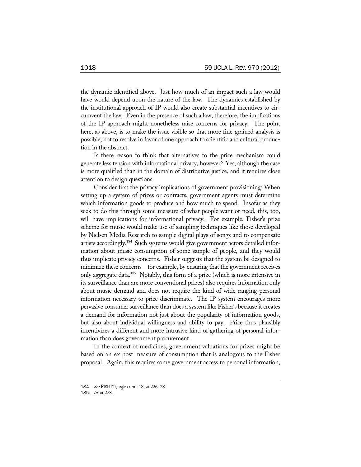the dynamic identified above. Just how much of an impact such a law would have would depend upon the nature of the law. The dynamics established by the institutional approach of IP would also create substantial incentives to circumvent the law. Even in the presence of such a law, therefore, the implications of the IP approach might nonetheless raise concerns for privacy. The point here, as above, is to make the issue visible so that more fine-grained analysis is possible, not to resolve in favor of one approach to scientific and cultural production in the abstract.

Is there reason to think that alternatives to the price mechanism could generate less tension with informational privacy, however? Yes, although the case is more qualified than in the domain of distributive justice, and it requires close attention to design questions.

Consider first the privacy implications of government provisioning: When setting up a system of prizes or contracts, government agents must determine which information goods to produce and how much to spend. Insofar as they seek to do this through some measure of what people want or need, this, too, will have implications for informational privacy. For example, Fisher's prize scheme for music would make use of sampling techniques like those developed by Nielsen Media Research to sample digital plays of songs and to compensate artists accordingly.184 Such systems would give government actors detailed information about music consumption of some sample of people, and they would thus implicate privacy concerns. Fisher suggests that the system be designed to minimize these concerns—for example, by ensuring that the government receives only aggregate data.185 Notably, this form of a prize (which is more intensive in its surveillance than are more conventional prizes) also requires information only about music demand and does not require the kind of wide-ranging personal information necessary to price discriminate. The IP system encourages more pervasive consumer surveillance than does a system like Fisher's because it creates a demand for information not just about the popularity of information goods, but also about individual willingness and ability to pay. Price thus plausibly incentivizes a different and more intrusive kind of gathering of personal information than does government procurement.

In the context of medicines, government valuations for prizes might be based on an ex post measure of consumption that is analogous to the Fisher proposal. Again, this requires some government access to personal information,

<sup>184</sup>*. See* FISHER, *supra* note 18, at 226–28.

<sup>185</sup>. *Id.* at 228.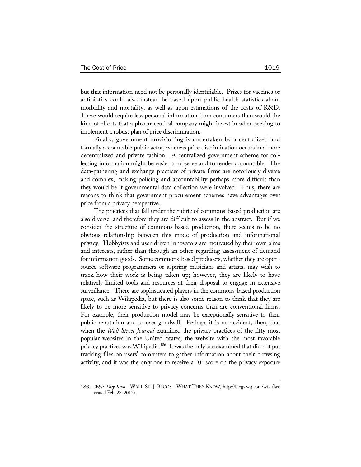but that information need not be personally identifiable. Prizes for vaccines or antibiotics could also instead be based upon public health statistics about morbidity and mortality, as well as upon estimations of the costs of R&D. These would require less personal information from consumers than would the kind of efforts that a pharmaceutical company might invest in when seeking to implement a robust plan of price discrimination.

Finally, government provisioning is undertaken by a centralized and formally accountable public actor, whereas price discrimination occurs in a more decentralized and private fashion. A centralized government scheme for collecting information might be easier to observe and to render accountable. The data-gathering and exchange practices of private firms are notoriously diverse and complex, making policing and accountability perhaps more difficult than they would be if governmental data collection were involved. Thus, there are reasons to think that government procurement schemes have advantages over price from a privacy perspective.

The practices that fall under the rubric of commons-based production are also diverse, and therefore they are difficult to assess in the abstract. But if we consider the structure of commons-based production, there seems to be no obvious relationship between this mode of production and informational privacy. Hobbyists and user-driven innovators are motivated by their own aims and interests, rather than through an other-regarding assessment of demand for information goods. Some commons-based producers, whether they are opensource software programmers or aspiring musicians and artists, may wish to track how their work is being taken up; however, they are likely to have relatively limited tools and resources at their disposal to engage in extensive surveillance. There are sophisticated players in the commons-based production space, such as Wikipedia, but there is also some reason to think that they are likely to be more sensitive to privacy concerns than are conventional firms. For example, their production model may be exceptionally sensitive to their public reputation and to user goodwill. Perhaps it is no accident, then, that when the *Wall Street Journal* examined the privacy practices of the fifty most popular websites in the United States, the website with the most favorable privacy practices was Wikipedia.186 It was the only site examined that did not put tracking files on users' computers to gather information about their browsing activity, and it was the only one to receive a "0" score on the privacy exposure

<sup>186</sup>. *What They Know*, WALL ST. J. BLOGS—WHAT THEY KNOW, http://blogs.wsj.com/wtk (last visited Feb. 28, 2012).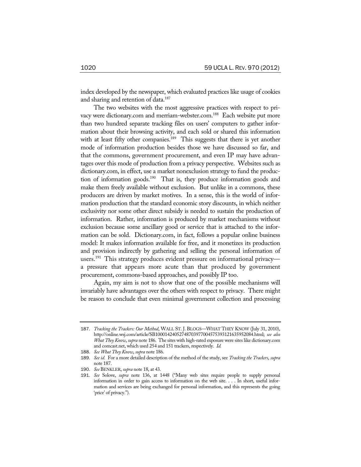index developed by the newspaper, which evaluated practices like usage of cookies and sharing and retention of data.<sup>187</sup>

The two websites with the most aggressive practices with respect to privacy were dictionary.com and merriam-webster.com.<sup>188</sup> Each website put more than two hundred separate tracking files on users' computers to gather information about their browsing activity, and each sold or shared this information with at least fifty other companies.<sup>189</sup> This suggests that there is yet another mode of information production besides those we have discussed so far, and that the commons, government procurement, and even IP may have advantages over this mode of production from a privacy perspective. Websites such as dictionary.com, in effect, use a market nonexclusion strategy to fund the production of information goods.190 That is, they produce information goods and make them freely available without exclusion. But unlike in a commons, these producers are driven by market motives. In a sense, this is the world of information production that the standard economic story discounts, in which neither exclusivity nor some other direct subsidy is needed to sustain the production of information. Rather, information is produced by market mechanisms without exclusion because some ancillary good or service that is attached to the information can be sold. Dictionary.com, in fact, follows a popular online business model: It makes information available for free, and it monetizes its production and provision indirectly by gathering and selling the personal information of users.<sup>191</sup> This strategy produces evident pressure on informational privacya pressure that appears more acute than that produced by government procurement, commons-based approaches, and possibly IP too.

Again, my aim is not to show that one of the possible mechanisms will invariably have advantages over the others with respect to privacy. There might be reason to conclude that even minimal government collection and processing

<sup>187</sup>. *Tracking the Trackers: Our Method*, WALL ST. J. BLOGS—WHAT THEY KNOW (July 31, 2010), http://online.wsj.com/article/SB10001424052748703977004575393121635952084.html; *see also What They Know*, *supra* note 186. The sites with high-rated exposure were sites like dictionary.com and comcast.net, which used 254 and 151 trackers, respectively. *Id.*

<sup>188</sup>. *See What They Know*, *supra* note 186.

<sup>189</sup>. *See id.* For a more detailed description of the method of the study, see *Tracking the Trackers*, *supra* note 187.

<sup>190</sup>. *See* BENKLER, *supra* note 18, at 43.

<sup>191</sup>. *See* Solove, *supra* note 136, at 1448 ("Many web sites require people to supply personal information in order to gain access to information on the web site. . . . In short, useful information and services are being exchanged for personal information, and this represents the going 'price' of privacy.").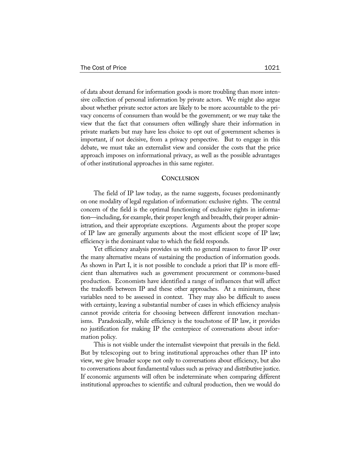of data about demand for information goods is more troubling than more intensive collection of personal information by private actors. We might also argue about whether private sector actors are likely to be more accountable to the privacy concerns of consumers than would be the government; or we may take the view that the fact that consumers often willingly share their information in private markets but may have less choice to opt out of government schemes is important, if not decisive, from a privacy perspective. But to engage in this debate, we must take an externalist view and consider the costs that the price approach imposes on informational privacy, as well as the possible advantages of other institutional approaches in this same register.

#### **CONCLUSION**

The field of IP law today, as the name suggests, focuses predominantly on one modality of legal regulation of information: exclusive rights. The central concern of the field is the optimal functioning of exclusive rights in information—including, for example, their proper length and breadth, their proper administration, and their appropriate exceptions. Arguments about the proper scope of IP law are generally arguments about the most efficient scope of IP law; efficiency is the dominant value to which the field responds.

Yet efficiency analysis provides us with no general reason to favor IP over the many alternative means of sustaining the production of information goods. As shown in Part I, it is not possible to conclude a priori that IP is more efficient than alternatives such as government procurement or commons-based production. Economists have identified a range of influences that will affect the tradeoffs between IP and these other approaches. At a minimum, these variables need to be assessed in context. They may also be difficult to assess with certainty, leaving a substantial number of cases in which efficiency analysis cannot provide criteria for choosing between different innovation mechanisms. Paradoxically, while efficiency is the touchstone of IP law, it provides no justification for making IP the centerpiece of conversations about information policy.

This is not visible under the internalist viewpoint that prevails in the field. But by telescoping out to bring institutional approaches other than IP into view, we give broader scope not only to conversations about efficiency, but also to conversations about fundamental values such as privacy and distributive justice. If economic arguments will often be indeterminate when comparing different institutional approaches to scientific and cultural production, then we would do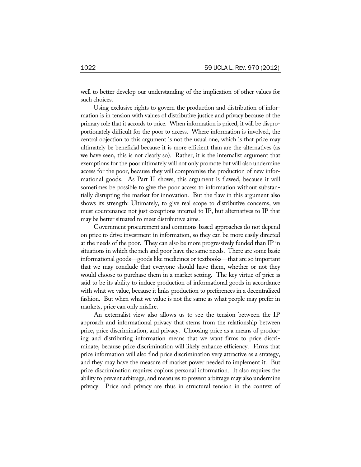well to better develop our understanding of the implication of other values for such choices.

Using exclusive rights to govern the production and distribution of information is in tension with values of distributive justice and privacy because of the primary role that it accords to price. When information is priced, it will be disproportionately difficult for the poor to access. Where information is involved, the central objection to this argument is not the usual one, which is that price may ultimately be beneficial because it is more efficient than are the alternatives (as we have seen, this is not clearly so). Rather, it is the internalist argument that exemptions for the poor ultimately will not only promote but will also undermine access for the poor, because they will compromise the production of new informational goods. As Part II shows, this argument is flawed, because it will sometimes be possible to give the poor access to information without substantially disrupting the market for innovation. But the flaw in this argument also shows its strength: Ultimately, to give real scope to distributive concerns, we must countenance not just exceptions internal to IP, but alternatives to IP that may be better situated to meet distributive aims.

Government procurement and commons-based approaches do not depend on price to drive investment in information, so they can be more easily directed at the needs of the poor. They can also be more progressively funded than IP in situations in which the rich and poor have the same needs. There are some basic informational goods—goods like medicines or textbooks—that are so important that we may conclude that everyone should have them, whether or not they would choose to purchase them in a market setting. The key virtue of price is said to be its ability to induce production of informational goods in accordance with what we value, because it links production to preferences in a decentralized fashion. But when what we value is not the same as what people may prefer in markets, price can only misfire.

An externalist view also allows us to see the tension between the IP approach and informational privacy that stems from the relationship between price, price discrimination, and privacy. Choosing price as a means of producing and distributing information means that we want firms to price discriminate, because price discrimination will likely enhance efficiency. Firms that price information will also find price discrimination very attractive as a strategy, and they may have the measure of market power needed to implement it. But price discrimination requires copious personal information. It also requires the ability to prevent arbitrage, and measures to prevent arbitrage may also undermine privacy. Price and privacy are thus in structural tension in the context of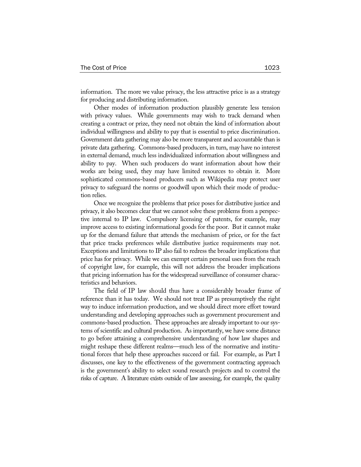information. The more we value privacy, the less attractive price is as a strategy for producing and distributing information.

Other modes of information production plausibly generate less tension with privacy values. While governments may wish to track demand when creating a contract or prize, they need not obtain the kind of information about individual willingness and ability to pay that is essential to price discrimination. Government data gathering may also be more transparent and accountable than is private data gathering. Commons-based producers, in turn, may have no interest in external demand, much less individualized information about willingness and ability to pay. When such producers do want information about how their works are being used, they may have limited resources to obtain it. More sophisticated commons-based producers such as Wikipedia may protect user privacy to safeguard the norms or goodwill upon which their mode of production relies.

Once we recognize the problems that price poses for distributive justice and privacy, it also becomes clear that we cannot solve these problems from a perspective internal to IP law. Compulsory licensing of patents, for example, may improve access to existing informational goods for the poor. But it cannot make up for the demand failure that attends the mechanism of price, or for the fact that price tracks preferences while distributive justice requirements may not. Exceptions and limitations to IP also fail to redress the broader implications that price has for privacy. While we can exempt certain personal uses from the reach of copyright law, for example, this will not address the broader implications that pricing information has for the widespread surveillance of consumer characteristics and behaviors.

The field of IP law should thus have a considerably broader frame of reference than it has today. We should not treat IP as presumptively the right way to induce information production, and we should direct more effort toward understanding and developing approaches such as government procurement and commons-based production. These approaches are already important to our systems of scientific and cultural production. As importantly, we have some distance to go before attaining a comprehensive understanding of how law shapes and might reshape these different realms—much less of the normative and institutional forces that help these approaches succeed or fail. For example, as Part I discusses, one key to the effectiveness of the government contracting approach is the government's ability to select sound research projects and to control the risks of capture. A literature exists outside of law assessing, for example, the quality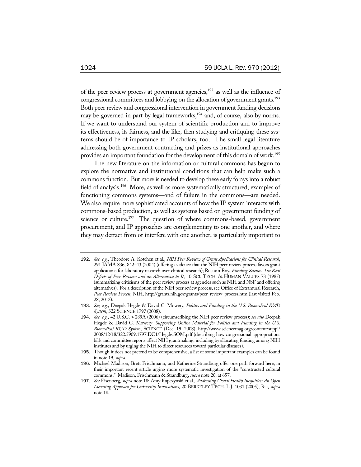of the peer review process at government agencies,<sup>192</sup> as well as the influence of congressional committees and lobbying on the allocation of government grants.<sup>193</sup> Both peer review and congressional intervention in government funding decisions may be governed in part by legal frameworks, $194$  and, of course, also by norms. If we want to understand our system of scientific production and to improve its effectiveness, its fairness, and the like, then studying and critiquing these systems should be of importance to IP scholars, too. The small legal literature addressing both government contracting and prizes as institutional approaches provides an important foundation for the development of this domain of work.<sup>195</sup>

The new literature on the information or cultural commons has begun to explore the normative and institutional conditions that can help make such a commons function. But more is needed to develop these early forays into a robust field of analysis.<sup>196</sup> More, as well as more systematically structured, examples of functioning commons systems—and of failure in the commons—are needed. We also require more sophisticated accounts of how the IP system interacts with commons-based production, as well as systems based on government funding of science or culture.<sup>197</sup> The question of where commons-based, government procurement, and IP approaches are complementary to one another, and where they may detract from or interfere with one another, is particularly important to

<sup>192</sup>. *See, e.g.*, Theodore A. Kotchen et al., *NIH Peer Review of Grant Applications for Clinical Research*, 291 JAMA 836, 842–43 (2004) (offering evidence that the NIH peer review process favors grant applications for laboratory research over clinical research); Rustum Roy, *Funding Science: The Real Defects of Peer Review and an Alternative to It*, 10 SCI. TECH. & HUMAN VALUES 73 (1985) (summarizing criticisms of the peer review process at agencies such as NIH and NSF and offering alternatives). For a description of the NIH peer review process, see Office of Extramural Research, *Peer Review Process*, NIH, http://grants.nih.gov/grants/peer\_review\_process.htm (last visited Feb. 28, 2012).

<sup>193</sup>. *See, e.g.*, Deepak Hegde & David C. Mowery, *Politics and Funding in the U.S. Biomedical R&D System*, 322 SCIENCE 1797 (2008).

<sup>194</sup>. *See, e.g.*, 42 U.S.C. § 289A (2006) (circumscribing the NIH peer review process); *see also* Deepak Hegde & David C. Mowery, *Supporting Online Material for Politics and Funding in the U.S. Biomedical R&D System*, SCIENCE (Dec. 19, 2008), http://www.sciencemag.org/content/suppl/ 2008/12/18/322.5909.1797.DC1/Hegde.SOM.pdf (describing how congressional appropriations bills and committee reports affect NIH grantmaking, including by allocating funding among NIH institutes and by urging the NIH to direct resources toward particular diseases).

<sup>195</sup>. Though it does not pretend to be comprehensive, a list of some important examples can be found in note 19, *supra*.

<sup>196</sup>. Michael Madison, Brett Frischmann, and Katherine Strandburg offer one path forward here, in their important recent article urging more systematic investigation of the "constructed cultural commons." Madison, Frischmann & Strandburg, *supra* note 20, at 657.

<sup>197</sup>. *See* Eisenberg, *supra* note 18; Amy Kapczynski et al., *Addressing Global Health Inequities: An Open Licensing Approach for University Innovations*, 20 BERKELEY TECH. L.J. 1031 (2005); Rai, *supra*  note 18.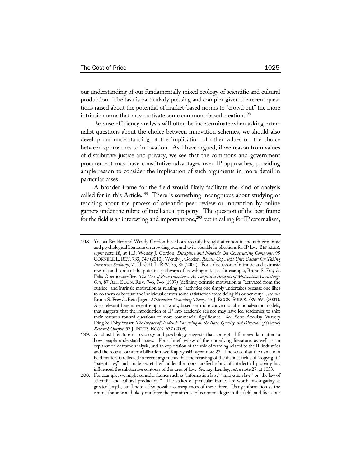our understanding of our fundamentally mixed ecology of scientific and cultural production. The task is particularly pressing and complex given the recent questions raised about the potential of market-based norms to "crowd out" the more intrinsic norms that may motivate some commons-based creation.<sup>198</sup>

Because efficiency analysis will often be indeterminate when asking externalist questions about the choice between innovation schemes, we should also develop our understanding of the implication of other values on the choice between approaches to innovation. As I have argued, if we reason from values of distributive justice and privacy, we see that the commons and government procurement may have constitutive advantages over IP approaches, providing ample reason to consider the implication of such arguments in more detail in particular cases.

A broader frame for the field would likely facilitate the kind of analysis called for in this Article.<sup>199</sup> There is something incongruous about studying or teaching about the process of scientific peer review or innovation by online gamers under the rubric of intellectual property. The question of the best frame for the field is an interesting and important one, $200$  but in calling for IP externalism,

<sup>198</sup>. Yochai Benkler and Wendy Gordon have both recently brought attention to the rich economic and psychological literature on crowding out, and to its possible implications for IP law. BENKLER, *supra* note 18, at 115; Wendy J. Gordon, *Discipline and Nourish: On Constructing Commons*, 95 CORNELL L.REV. 733, 749 (2010); Wendy J. Gordon, *Render Copyright Unto Caesar: On Taking Incentives Seriously*, 71 U. CHI. L. REV. 75, 88 (2004). For a discussion of intrinsic and extrinsic rewards and some of the potential pathways of crowding out, see, for example, Bruno S. Frey & Felix Oberholzer-Gee, *The Cost of Price Incentives: An Empirical Analysis of Motivation Crowding-Out*, 87 AM. ECON. REV. 746, 746 (1997) (defining extrinsic motivation as "activated from the outside" and intrinsic motivation as relating to "activities one simply undertakes because one likes to do them or because the individual derives some satisfaction from doing his or her duty"); *see also* Bruno S. Frey & Reto Jegen, *Motivation Crowding Theory*, 15 J. ECON. SURVS. 589, 591 (2001). Also relevant here is recent empirical work, based on more conventional rational-actor models, that suggests that the introduction of IP into academic science may have led academics to shift their research toward questions of more commercial significance. *See* Pierre Azoulay, Wavery Ding & Toby Stuart, *The Impact of Academic Patenting on the Rate, Quality and Direction of (Public) Research Output*, 57 J.INDUS.ECON. 637 (2009).

<sup>199</sup>. A robust literature in sociology and psychology suggests that conceptual frameworks matter to how people understand issues. For a brief review of the underlying literature, as well as an explanation of frame analysis, and an exploration of the role of framing related to the IP industries and the recent countermobilization, see Kapczynski, *supra* note 27. The sense that the name of a field matters is reflected in recent arguments that the recasting of the distinct fields of "copyright," "patent law," and "trade secret law" under the more rarefied rubric of intellectual property has influenced the substantive contours of this area of law. *See, e.g.*, Lemley, *supra* note 27, at 1033.

<sup>200</sup>. For example, we might consider frames such as "information law," "innovation law," or "the law of scientific and cultural production." The stakes of particular frames are worth investigating at greater length, but I note a few possible consequences of these three. Using information as the central frame would likely reinforce the prominence of economic logic in the field, and focus our